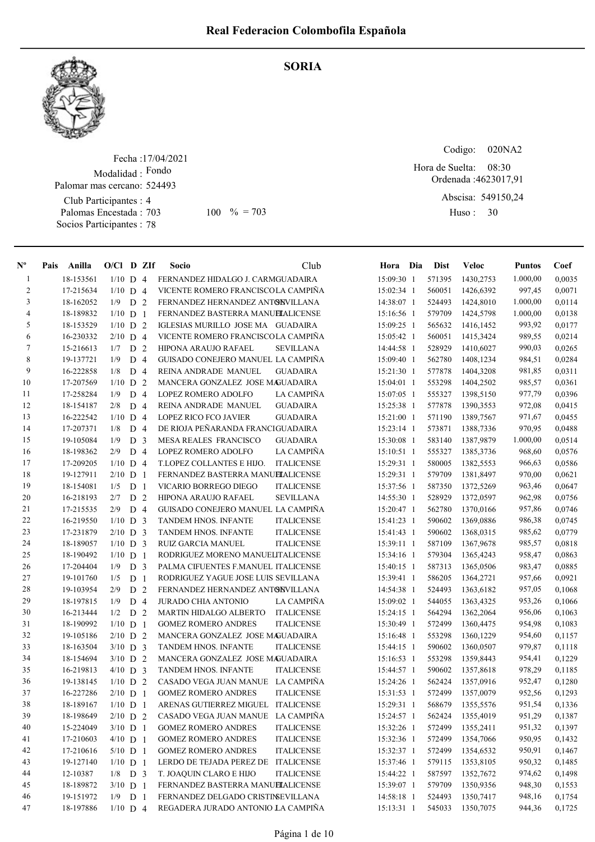SORIA



## Fecha : 17/04/2021 Modalidad : Fondo Club Participantes : 4 Palomas Encestada : Palomar mas cercano: 524493

Socios Participantes : 78

703 100 % = 703 Huso: 30

Codigo: 020NA2

Ordenada : 4623017,91 Abscisa: 549150,24 08:30 Hora de Suelta:

Huso: 30

| $N^{\circ}$    | Pais Anilla | $O/Cl$ D ZIf |                |                | Socio                               | Club              | Hora Dia     | <b>Dist</b> | <b>Veloc</b> | <b>Puntos</b> | Coef   |
|----------------|-------------|--------------|----------------|----------------|-------------------------------------|-------------------|--------------|-------------|--------------|---------------|--------|
| $\mathbf{1}$   | 18-153561   | $1/10$ D 4   |                |                | FERNANDEZ HIDALGO J. CARMGUADAIRA   |                   | 15:09:30 1   | 571395      | 1430,2753    | 1.000,00      | 0,0035 |
| $\mathbf{2}$   | 17-215634   | $1/10$ D 4   |                |                | VICENTE ROMERO FRANCISCOLA CAMPIÑA  |                   | 15:02:34 1   | 560051      | 1426,6392    | 997,45        | 0,0071 |
| 3              | 18-162052   | 1/9          | D              | 2              | FERNANDEZ HERNANDEZ ANTONVILLANA    |                   | 14:38:07 1   | 524493      | 1424,8010    | 1.000,00      | 0,0114 |
| $\overline{4}$ | 18-189832   | $1/10$ D     |                | -1             | FERNANDEZ BASTERRA MANUELALICENSE   |                   | 15:16:56 1   | 579709      | 1424,5798    | 1.000,00      | 0,0138 |
| 5              | 18-153529   | $1/10$ D     |                | 2              | IGLESIAS MURILLO JOSE MA GUADAIRA   |                   | 15:09:25 1   | 565632      | 1416,1452    | 993,92        | 0,0177 |
| 6              | 16-230332   | $2/10$ D 4   |                |                | VICENTE ROMERO FRANCISCOLA CAMPIÑA  |                   | 15:05:42 1   | 560051      | 1415,3424    | 989,55        | 0,0214 |
| 7              | 15-216613   | 1/7          | D              | 2              | HIPONA ARAUJO RAFAEL                | <b>SEVILLANA</b>  | 14:44:58 1   | 528929      | 1410,6027    | 990,03        | 0,0265 |
| $\,8\,$        | 19-137721   | 1/9          | D              | $\overline{4}$ | GUISADO CONEJERO MANUEL LA CAMPIÑA  |                   | 15:09:40 1   | 562780      | 1408,1234    | 984,51        | 0,0284 |
| 9              | 16-222858   | 1/8          | D              | $\overline{4}$ | REINA ANDRADE MANUEL                | <b>GUADAIRA</b>   | 15:21:30 1   | 577878      | 1404,3208    | 981,85        | 0,0311 |
| 10             | 17-207569   | 1/10         | D              | $\overline{2}$ | MANCERA GONZALEZ JOSE MAGUADAIRA    |                   | $15:04:01$ 1 | 553298      | 1404,2502    | 985,57        | 0,0361 |
| 11             | 17-258284   | 1/9          | $\mathbf D$    | $\overline{4}$ | LOPEZ ROMERO ADOLFO                 | <b>LA CAMPIÑA</b> | 15:07:05 1   | 555327      | 1398,5150    | 977,79        | 0,0396 |
| 12             | 18-154187   | 2/8          | D              | $\overline{4}$ | REINA ANDRADE MANUEL                | <b>GUADAIRA</b>   | 15:25:38 1   | 577878      | 1390, 3553   | 972,08        | 0,0415 |
| 13             | 16-222542   | $1/10$ D 4   |                |                | LOPEZ RICO FCO JAVIER               | <b>GUADAIRA</b>   | 15:21:00 1   | 571190      | 1389,7567    | 971,67        | 0,0455 |
| 14             | 17-207371   | 1/8          | D <sub>4</sub> |                | DE RIOJA PEÑARANDA FRANCIGUADAIRA   |                   | 15:23:14 1   | 573871      | 1388,7336    | 970,95        | 0,0488 |
| 15             | 19-105084   | 1/9          | D              | 3              | MESA REALES FRANCISCO               | <b>GUADAIRA</b>   | 15:30:08 1   | 583140      | 1387,9879    | 1.000,00      | 0,0514 |
| 16             | 18-198362   | 2/9          | D              | $\overline{4}$ | LOPEZ ROMERO ADOLFO                 | LA CAMPIÑA        | 15:10:51 1   | 555327      | 1385,3736    | 968,60        | 0,0576 |
| 17             | 17-209205   | $1/10$ D 4   |                |                | T.LOPEZ COLLANTES E HIJO.           | <b>ITALICENSE</b> | 15:29:31 1   | 580005      | 1382,5553    | 966,63        | 0,0586 |
| 18             | 19-127911   | $2/10$ D     |                | -1             | FERNANDEZ BASTERRA MANUELALICENSE   |                   | 15:29:31 1   | 579709      | 1381,8497    | 970,00        | 0,0621 |
| 19             | 18-154081   | 1/5          | D              | -1             | VICARIO BORREGO DIEGO               | <b>ITALICENSE</b> | 15:37:56 1   | 587350      | 1372,5269    | 963,46        | 0,0647 |
| 20             | 16-218193   | 2/7          | D              | 2              | HIPONA ARAUJO RAFAEL                | <b>SEVILLANA</b>  | 14:55:30 1   | 528929      | 1372,0597    | 962,98        | 0,0756 |
| 21             | 17-215535   | 2/9          | D              | $\overline{4}$ | GUISADO CONEJERO MANUEL LA CAMPIÑA  |                   | 15:20:47 1   | 562780      | 1370,0166    | 957,86        | 0,0746 |
| 22             | 16-219550   | $1/10$ D     |                | 3              | TANDEM HNOS. INFANTE                | <b>ITALICENSE</b> | 15:41:23 1   | 590602      | 1369,0886    | 986,38        | 0,0745 |
| 23             | 17-231879   | $2/10$ D     |                | 3              | TANDEM HNOS. INFANTE                | <b>ITALICENSE</b> | 15:41:43 1   | 590602      | 1368,0315    | 985,62        | 0,0779 |
| 24             | 18-189057   | $1/10$ D 3   |                |                | <b>RUIZ GARCIA MANUEL</b>           | <b>ITALICENSE</b> | 15:39:11 1   | 587109      | 1367,9678    | 985,57        | 0,0818 |
| 25             | 18-190492   | $1/10$ D     |                | $\overline{1}$ | RODRIGUEZ MORENO MANUELITALICENSE   |                   | 15:34:16 1   | 579304      | 1365,4243    | 958,47        | 0,0863 |
| 26             | 17-204404   | 1/9          | D <sub>3</sub> |                | PALMA CIFUENTES F.MANUEL ITALICENSE |                   | 15:40:15 1   | 587313      | 1365,0506    | 983,47        | 0,0885 |
| 27             | 19-101760   | 1/5          | D <sub>1</sub> |                | RODRIGUEZ YAGUE JOSE LUIS SEVILLANA |                   | 15:39:41 1   | 586205      | 1364,2721    | 957,66        | 0,0921 |
| 28             | 19-103954   | 2/9          | D              | 2              | FERNANDEZ HERNANDEZ ANTONVILLANA    |                   | 14:54:38 1   | 524493      | 1363,6182    | 957,05        | 0,1068 |
| 29             | 18-197815   | 1/9          | D <sub>4</sub> |                | JURADO CHIA ANTONIO                 | LA CAMPIÑA        | 15:09:02 1   | 544055      | 1363,4325    | 953,26        | 0,1066 |
| 30             | 16-213444   | 1/2          | D              | 2              | MARTIN HIDALGO ALBERTO              | <b>ITALICENSE</b> | 15:24:15 1   | 564294      | 1362,2064    | 956,06        | 0,1063 |
| 31             | 18-190992   | $1/10$ D     |                | $\overline{1}$ | <b>GOMEZ ROMERO ANDRES</b>          | <b>ITALICENSE</b> | 15:30:49 1   | 572499      | 1360,4475    | 954,98        | 0,1083 |
| 32             | 19-105186   | $2/10$ D     |                | 2              | MANCERA GONZALEZ JOSE MAGUADAIRA    |                   | 15:16:48 1   | 553298      | 1360,1229    | 954,60        | 0,1157 |
| 33             | 18-163504   | $3/10$ D     |                | 3              | <b>TANDEM HNOS. INFANTE</b>         | <b>ITALICENSE</b> | $15:44:15$ 1 | 590602      | 1360,0507    | 979,87        | 0,1118 |
| 34             | 18-154694   | $3/10$ D     |                | $\overline{2}$ | MANCERA GONZALEZ JOSE MAGUADAIRA    |                   | 15:16:53 1   | 553298      | 1359,8443    | 954,41        | 0,1229 |
| 35             | 16-219813   | $4/10$ D     |                | 3              | TANDEM HNOS. INFANTE                | <b>ITALICENSE</b> | 15:44:57 1   | 590602      | 1357,8618    | 978,29        | 0,1185 |
| 36             | 19-138145   | $1/10$ D     |                | 2              | CASADO VEGA JUAN MANUE LA CAMPIÑA   |                   | 15:24:26 1   | 562424      | 1357,0916    | 952,47        | 0,1280 |
| 37             | 16-227286   | $2/10$ D 1   |                |                | <b>GOMEZ ROMERO ANDRES</b>          | <b>ITALICENSE</b> | 15:31:53 1   | 572499      | 1357,0079    | 952,56        | 0,1293 |
| 38             | 18-189167   | $1/10$ D 1   |                |                | ARENAS GUTIERREZ MIGUEL ITALICENSE  |                   | 15:29:31 1   | 568679      | 1355,5576    | 951,54        | 0,1336 |
| 39             | 18-198649   | $2/10$ D 2   |                |                | CASADO VEGA JUAN MANUE LA CAMPINA   |                   | 15:24:57 1   | 562424      | 1355,4019    | 951,29        | 0,1387 |
| 40             | 15-224049   | $3/10$ D 1   |                |                | <b>GOMEZ ROMERO ANDRES</b>          | <b>ITALICENSE</b> | 15:32:26 1   | 572499      | 1355,2411    | 951,32        | 0,1397 |
| 41             | 17-210603   | $4/10$ D 1   |                |                | <b>GOMEZ ROMERO ANDRES</b>          | <b>ITALICENSE</b> | 15:32:36 1   | 572499      | 1354,7066    | 950,95        | 0,1432 |
| 42             | 17-210616   | $5/10$ D 1   |                |                | <b>GOMEZ ROMERO ANDRES</b>          | <b>ITALICENSE</b> | 15:32:37 1   | 572499      | 1354,6532    | 950,91        | 0,1467 |
| 43             | 19-127140   | $1/10$ D 1   |                |                | LERDO DE TEJADA PEREZ DE ITALICENSE |                   | 15:37:46 1   | 579115      | 1353,8105    | 950,32        | 0,1485 |
| 44             | 12-10387    | $1/8$ D 3    |                |                | T. JOAQUIN CLARO E HIJO             | <b>ITALICENSE</b> | 15:44:22 1   | 587597      | 1352,7672    | 974,62        | 0,1498 |
| 45             | 18-189872   | $3/10$ D 1   |                |                | FERNANDEZ BASTERRA MANUELALICENSE   |                   | 15:39:07 1   | 579709      | 1350,9356    | 948,30        | 0,1553 |
| 46             | 19-151972   | $1/9$ D 1    |                |                | FERNANDEZ DELGADO CRISTINSEVILLANA  |                   | 14:58:18 1   | 524493      | 1350,7417    | 948,16        | 0,1754 |
| 47             | 18-197886   | $1/10$ D 4   |                |                | REGADERA JURADO ANTONIO LA CAMPIÑA  |                   | 15:13:31 1   | 545033      | 1350,7075    | 944,36        | 0,1725 |
|                |             |              |                |                |                                     |                   |              |             |              |               |        |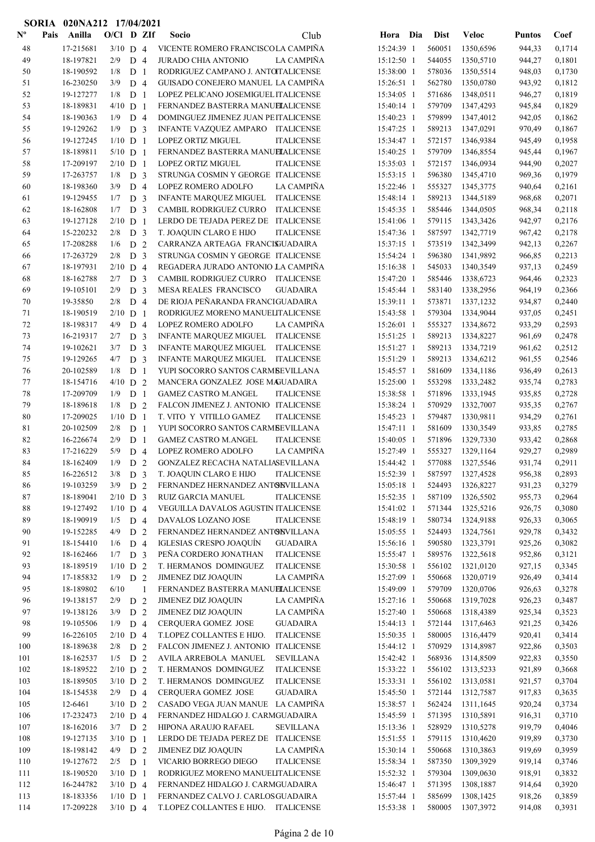|                           |      | SORIA 020NA212 17/04/2021 |                   |                                  |                |                                                                                         |                          |                  |                         |                  |                  |
|---------------------------|------|---------------------------|-------------------|----------------------------------|----------------|-----------------------------------------------------------------------------------------|--------------------------|------------------|-------------------------|------------------|------------------|
| $\mathbf{N}^{\mathbf{o}}$ | Pais | Anilla                    | $O/CI$ D ZIf      |                                  |                | Socio<br>Club                                                                           | Hora Dia                 | <b>Dist</b>      | <b>Veloc</b>            | <b>Puntos</b>    | Coef             |
| 48                        |      | 17-215681                 | $3/10$ D 4        |                                  |                | VICENTE ROMERO FRANCISCOLA CAMPIÑA                                                      | 15:24:39 1               | 560051           | 1350,6596               | 944,33           | 0,1714           |
| 49                        |      | 18-197821                 | 2/9               | D <sub>4</sub>                   |                | LA CAMPIÑA<br>JURADO CHIA ANTONIO                                                       | 15:12:50 1               | 544055           | 1350,5710               | 944,27           | 0,1801           |
| 50                        |      | 18-190592                 | 1/8               | D <sub>1</sub>                   |                | RODRIGUEZ CAMPANO J. ANTOTALICENSE                                                      | 15:38:00 1               | 578036           | 1350,5514               | 948,03           | 0,1730           |
| 51                        |      | 16-230250                 | 3/9               | D <sub>4</sub>                   |                | GUISADO CONEJERO MANUEL LA CAMPIÑA                                                      | 15:26:51 1               | 562780           | 1350,0780               | 943,92           | 0,1812           |
| 52                        |      | 19-127277                 | 1/8               | D <sub>1</sub>                   |                | LOPEZ PELICANO JOSEMIGUEL ITALICENSE                                                    | 15:34:05 1               | 571686           | 1348,0511               | 946,27           | 0,1819           |
| 53                        |      | 18-189831                 | $4/10$ D 1        |                                  |                | FERNANDEZ BASTERRA MANUELALICENSE                                                       | 15:40:14 1               | 579709           | 1347,4293               | 945,84           | 0,1829           |
| 54                        |      | 18-190363                 | 1/9               | D <sub>4</sub>                   |                | DOMINGUEZ JIMENEZ JUAN PEITALICENSE                                                     | 15:40:23 1               | 579899           | 1347,4012               | 942,05           | 0,1862           |
| 55                        |      | 19-129262                 | 1/9               | D <sub>3</sub>                   |                | INFANTE VAZQUEZ AMPARO ITALICENSE                                                       | 15:47:25 1               | 589213           | 1347,0291               | 970,49           | 0,1867           |
| 56                        |      | 19-127245                 | $1/10$ D 1        |                                  |                | LOPEZ ORTIZ MIGUEL<br><b>ITALICENSE</b>                                                 | 15:34:47 1               | 572157           | 1346,9384               | 945,49           | 0,1958           |
| 57                        |      | 18-189811                 | $5/10$ D 1        |                                  |                | FERNANDEZ BASTERRA MANUELALICENSE                                                       | 15:40:25 1               | 579709           | 1346,8554               | 945,44           | 0,1967           |
| 58                        |      | 17-209197                 | $2/10$ D 1        |                                  |                | LOPEZ ORTIZ MIGUEL<br><b>ITALICENSE</b>                                                 | 15:35:03 1               | 572157           | 1346,0934               | 944,90           | 0,2027           |
| 59                        |      | 17-263757                 | 1/8               | D <sub>3</sub>                   |                | STRUNGA COSMIN Y GEORGE ITALICENSE                                                      | 15:53:15 1               | 596380           | 1345,4710               | 969,36           | 0,1979           |
| 60<br>61                  |      | 18-198360<br>19-129455    | 3/9<br>1/7        | D <sub>4</sub><br>D <sub>3</sub> |                | LA CAMPIÑA<br>LOPEZ ROMERO ADOLFO<br><b>ITALICENSE</b><br><b>INFANTE MARQUEZ MIGUEL</b> | 15:22:46 1<br>15:48:14 1 | 555327<br>589213 | 1345, 3775<br>1344,5189 | 940,64<br>968,68 | 0,2161<br>0,2071 |
| 62                        |      | 18-162808                 | 1/7               | D <sub>3</sub>                   |                | CAMBIL RODRIGUEZ CURRO<br><b>ITALICENSE</b>                                             | 15:45:35 1               | 585446           | 1344,0505               | 968,34           | 0,2118           |
| 63                        |      | 19-127128                 | $2/10$ D 1        |                                  |                | LERDO DE TEJADA PEREZ DE ITALICENSE                                                     | 15:41:06 1               | 579115           | 1343,3426               | 942,97           | 0,2176           |
| 64                        |      | 15-220232                 | 2/8               | D <sub>3</sub>                   |                | <b>ITALICENSE</b><br>T. JOAQUIN CLARO E HIJO                                            | 15:47:36 1               | 587597           | 1342,7719               | 967,42           | 0,2178           |
| 65                        |      | 17-208288                 | 1/6               | D <sub>2</sub>                   |                | CARRANZA ARTEAGA FRANCISUADAIRA                                                         | 15:37:15 1               | 573519           | 1342,3499               | 942,13           | 0,2267           |
| 66                        |      | 17-263729                 | 2/8               | D <sub>3</sub>                   |                | STRUNGA COSMIN Y GEORGE ITALICENSE                                                      | 15:54:24 1               | 596380           | 1341,9892               | 966,85           | 0,2213           |
| 67                        |      | 18-197931                 | $2/10$ D 4        |                                  |                | REGADERA JURADO ANTONIO LA CAMPIÑA                                                      | 15:16:38 1               | 545033           | 1340,3549               | 937,13           | 0,2459           |
| 68                        |      | 18-162788                 | 2/7               | D <sub>3</sub>                   |                | CAMBIL RODRIGUEZ CURRO<br><b>ITALICENSE</b>                                             | 15:47:20 1               | 585446           | 1338,6723               | 964,46           | 0,2323           |
| 69                        |      | 19-105101                 | 2/9               | D <sub>3</sub>                   |                | MESA REALES FRANCISCO<br><b>GUADAIRA</b>                                                | 15:45:44 1               | 583140           | 1338,2956               | 964,19           | 0,2366           |
| 70                        |      | 19-35850                  | 2/8               | D <sub>4</sub>                   |                | DE RIOJA PEÑARANDA FRANCIGUADAIRA                                                       | 15:39:11 1               | 573871           | 1337,1232               | 934,87           | 0,2440           |
| 71                        |      | 18-190519                 | $2/10$ D 1        |                                  |                | RODRIGUEZ MORENO MANUELITALICENSE                                                       | 15:43:58 1               | 579304           | 1334,9044               | 937,05           | 0,2451           |
| 72                        |      | 18-198317                 | 4/9               | D <sub>4</sub>                   |                | LA CAMPIÑA<br>LOPEZ ROMERO ADOLFO                                                       | 15:26:01 1               | 555327           | 1334,8672               | 933,29           | 0,2593           |
| 73                        |      | 16-219317                 | 2/7               | D <sub>3</sub>                   |                | <b>ITALICENSE</b><br><b>INFANTE MARQUEZ MIGUEL</b>                                      | 15:51:25 1               | 589213           | 1334,8227               | 961,69           | 0,2478           |
| 74                        |      | 19-102621                 | 3/7               | D <sub>3</sub>                   |                | INFANTE MARQUEZ MIGUEL<br><b>ITALICENSE</b>                                             | 15:51:27 1               | 589213           | 1334,7219               | 961,62           | 0,2512           |
| 75                        |      | 19-129265                 | 4/7               | D <sub>3</sub>                   |                | <b>INFANTE MARQUEZ MIGUEL</b><br><b>ITALICENSE</b>                                      | 15:51:29 1               | 589213           | 1334,6212               | 961,55           | 0,2546           |
| 76                        |      | 20-102589                 | 1/8               | D <sub>1</sub>                   |                | YUPI SOCORRO SANTOS CARMBEVILLANA                                                       | 15:45:57 1               | 581609           | 1334,1186               | 936,49           | 0,2613           |
| 77                        |      | 18-154716                 | $4/10$ D 2        |                                  |                | MANCERA GONZALEZ JOSE MAGUADAIRA                                                        | 15:25:00 1               | 553298           | 1333,2482               | 935,74           | 0,2783           |
| 78                        |      | 17-209709                 | 1/9               | D <sub>1</sub>                   |                | <b>GAMEZ CASTRO M.ANGEL</b><br><b>ITALICENSE</b>                                        | 15:38:58 1               | 571896           | 1333,1945               | 935,85           | 0,2728           |
| 79                        |      | 18-189618                 | 1/8               | D <sub>2</sub>                   |                | FALCON JIMENEZ J. ANTONIO ITALICENSE                                                    | 15:38:24 1               | 570929           | 1332,7007               | 935,35           | 0,2767           |
| 80<br>81                  |      | 17-209025<br>20-102509    | $1/10$ D 1<br>2/8 | D <sub>1</sub>                   |                | T. VITO Y VITILLO GAMEZ<br><b>ITALICENSE</b><br>YUPI SOCORRO SANTOS CARMBEVILLANA       | 15:45:23 1<br>15:47:11 1 | 579487<br>581609 | 1330,9811<br>1330,3549  | 934,29<br>933,85 | 0,2761<br>0,2785 |
| 82                        |      | 16-226674                 | 2/9               | D <sub>1</sub>                   |                | <b>GAMEZ CASTRO M.ANGEL</b><br><b>ITALICENSE</b>                                        | 15:40:05 1               | 571896           | 1329,7330               | 933,42           | 0,2868           |
| 83                        |      | 17-216229                 | 5/9               | D <sub>4</sub>                   |                | LA CAMPIÑA<br>LOPEZ ROMERO ADOLFO                                                       | 15:27:49 1               | 555327           | 1329,1164               | 929,27           | 0,2989           |
| 84                        |      | 18-162409                 | 1/9               | D <sub>2</sub>                   |                | GONZALEZ RECACHA NATALIASEVILLANA                                                       | 15:44:42 1               | 577088           | 1327,5546               | 931,74           | 0,2911           |
| 85                        |      | 16-226512                 | 3/8               | D <sub>3</sub>                   |                | T. JOAQUIN CLARO E HIJO<br><b>ITALICENSE</b>                                            | 15:52:39 1               | 587597           | 1327,4528               | 956,38           | 0,2893           |
| 86                        |      | 19-103259                 | 3/9               | D <sub>2</sub>                   |                | FERNANDEZ HERNANDEZ ANTONVILLANA                                                        | 15:05:18 1               | 524493           | 1326,8227               | 931,23           | 0,3279           |
| 87                        |      | 18-189041                 | $2/10$ D 3        |                                  |                | RUIZ GARCIA MANUEL<br><b>ITALICENSE</b>                                                 | 15:52:35 1               | 587109           | 1326,5502               | 955,73           | 0,2964           |
| 88                        |      | 19-127492                 | $1/10$ D 4        |                                  |                | VEGUILLA DAVALOS AGUSTIN ITALICENSE                                                     | 15:41:02 1               | 571344           | 1325,5216               | 926,75           | 0,3080           |
| 89                        |      | 18-190919                 | 1/5               | D <sub>4</sub>                   |                | DAVALOS LOZANO JOSE<br><b>ITALICENSE</b>                                                | 15:48:19 1               | 580734           | 1324,9188               | 926,33           | 0,3065           |
| 90                        |      | 19-152285                 | 4/9               | D <sub>2</sub>                   |                | FERNANDEZ HERNANDEZ ANTONVILLANA                                                        | 15:05:55 1               | 524493           | 1324,7561               | 929,78           | 0,3432           |
| 91                        |      | 18-154410                 | 1/6               | D <sub>4</sub>                   |                | IGLESIAS CRESPO JOAQUÍN<br><b>GUADAIRA</b>                                              | 15:56:16 1               | 590580           | 1323,3791               | 925,26           | 0,3082           |
| 92                        |      | 18-162466                 | 1/7               | D <sub>3</sub>                   |                | PEÑA CORDERO JONATHAN<br><b>ITALICENSE</b>                                              | 15:55:47 1               | 589576           | 1322,5618               | 952,86           | 0,3121           |
| 93                        |      | 18-189519                 | $1/10$ D 2        |                                  |                | T. HERMANOS DOMINGUEZ<br><b>ITALICENSE</b>                                              | 15:30:58 1               | 556102           | 1321,0120               | 927,15           | 0,3345           |
| 94                        |      | 17-185832                 | 1/9               | D <sub>2</sub>                   |                | LA CAMPIÑA<br>JIMENEZ DIZ JOAQUIN                                                       | 15:27:09 1               | 550668           | 1320,0719               | 926,49           | 0,3414           |
| 95                        |      | 18-189802                 | 6/10              |                                  | $\overline{1}$ | FERNANDEZ BASTERRA MANUELALICENSE                                                       | 15:49:09 1               | 579709           | 1320,0706               | 926,63           | 0,3278           |
| 96<br>97                  |      | 19-138157<br>19-138126    | 2/9<br>3/9        | D <sub>2</sub><br>D <sub>2</sub> |                | JIMENEZ DIZ JOAQUIN<br>LA CAMPIÑA<br>JIMENEZ DIZ JOAQUIN<br>LA CAMPIÑA                  | 15:27:16 1<br>15:27:40 1 | 550668<br>550668 | 1319,7028<br>1318,4389  | 926,23<br>925,34 | 0,3487<br>0,3523 |
| 98                        |      | 19-105506                 | 1/9               | D <sub>4</sub>                   |                | CERQUERA GOMEZ JOSE<br><b>GUADAIRA</b>                                                  | 15:44:13 1               | 572144           | 1317,6463               | 921,25           | 0,3426           |
| 99                        |      | 16-226105                 | $2/10$ D 4        |                                  |                | T.LOPEZ COLLANTES E HIJO.<br><b>ITALICENSE</b>                                          | 15:50:35 1               | 580005           | 1316,4479               | 920,41           | 0,3414           |
| 100                       |      | 18-189638                 | 2/8               | D <sub>2</sub>                   |                | FALCON JIMENEZ J. ANTONIO ITALICENSE                                                    | 15:44:12 1               | 570929           | 1314,8987               | 922,86           | 0,3503           |
| 101                       |      | 18-162537                 | $1/5$ D 2         |                                  |                | <b>SEVILLANA</b><br>AVILA ARREBOLA MANUEL                                               | 15:42:42 1               | 568936           | 1314,8509               | 922,83           | 0,3550           |
| 102                       |      | 18-189522                 | $2/10$ D 2        |                                  |                | T. HERMANOS DOMINGUEZ<br><b>ITALICENSE</b>                                              | 15:33:22 1               | 556102           | 1313,5233               | 921,89           | 0,3668           |
| 103                       |      | 18-189505                 | $3/10$ D 2        |                                  |                | T. HERMANOS DOMINGUEZ<br><b>ITALICENSE</b>                                              | 15:33:31 1               | 556102           | 1313,0581               | 921,57           | 0,3704           |
| 104                       |      | 18-154538                 | $2/9$ D 4         |                                  |                | CERQUERA GOMEZ JOSE<br><b>GUADAIRA</b>                                                  | 15:45:50 1               | 572144           | 1312,7587               | 917,83           | 0,3635           |
| 105                       |      | 12-6461                   | $3/10$ D 2        |                                  |                | CASADO VEGA JUAN MANUE LA CAMPIÑA                                                       | 15:38:57 1               | 562424           | 1311,1645               | 920,24           | 0,3734           |
| 106                       |      | 17-232473                 | $2/10$ D 4        |                                  |                | FERNANDEZ HIDALGO J. CARMGUADAIRA                                                       | 15:45:59 1               | 571395           | 1310,5891               | 916,31           | 0,3710           |
| 107                       |      | 18-162016                 | $3/7$ D 2         |                                  |                | HIPONA ARAUJO RAFAEL<br><b>SEVILLANA</b>                                                | 15:13:36 1               | 528929           | 1310,5278               | 919,79           | 0,4046           |
| $108\,$                   |      | 19-127135                 | $3/10$ D 1        |                                  |                | LERDO DE TEJADA PEREZ DE ITALICENSE                                                     | 15:51:55 1               | 579115           | 1310,4620               | 919,89           | 0,3730           |
| 109                       |      | 18-198142                 | 4/9               | D <sub>2</sub>                   |                | LA CAMPIÑA<br>JIMENEZ DIZ JOAQUIN                                                       | 15:30:14 1               | 550668           | 1310,3863               | 919,69           | 0,3959           |
| 110                       |      | 19-127672                 | $2/5$ D 1         |                                  |                | VICARIO BORREGO DIEGO<br><b>ITALICENSE</b>                                              | 15:58:34 1               | 587350           | 1309,3929               | 919,14           | 0,3746           |
| 111                       |      | 18-190520                 | $3/10$ D 1        |                                  |                | RODRIGUEZ MORENO MANUELITALICENSE                                                       | 15:52:32 1               | 579304           | 1309,0630               | 918,91           | 0,3832           |
| 112                       |      | 16-244782                 | $3/10$ D 4        |                                  |                | FERNANDEZ HIDALGO J. CARMGUADAIRA                                                       | 15:46:47 1               | 571395           | 1308,1887               | 914,64           | 0,3920           |
| 113                       |      | 18-183356                 | $1/10$ D 1        |                                  |                | FERNANDEZ CALVO J. CARLOSGUADAIRA                                                       | 15:57:44 1               | 585699           | 1308,1425               | 918,26           | 0,3859           |
| 114                       |      | 17-209228                 | $3/10$ D 4        |                                  |                | T.LOPEZ COLLANTES E HIJO. ITALICENSE                                                    | 15:53:38 1               | 580005           | 1307,3972               | 914,08           | 0,3931           |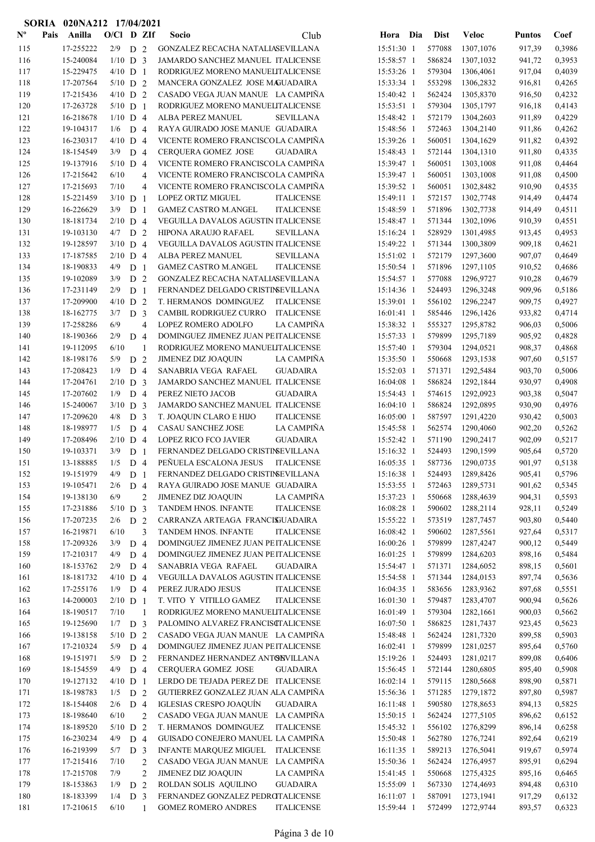|                           | <b>SORIA</b> | 020NA212 17/04/2021    |                   |                |                |                                                        |                          |     |                  |                        |                  |                  |
|---------------------------|--------------|------------------------|-------------------|----------------|----------------|--------------------------------------------------------|--------------------------|-----|------------------|------------------------|------------------|------------------|
| $\mathbf{N}^{\mathbf{o}}$ | Pais         | Anilla                 | $O/C1$ D ZIf      |                |                | Socio<br>Club                                          | Hora                     | Dia | <b>Dist</b>      | <b>Veloc</b>           | <b>Puntos</b>    | Coef             |
| 115                       |              | 17-255222              | $2/9$ D 2         |                |                | GONZALEZ RECACHA NATALIASEVILLANA                      | 15:51:30 1               |     | 577088           | 1307,1076              | 917,39           | 0,3986           |
| 116                       |              | 15-240084              | $1/10$ D 3        |                |                | JAMARDO SANCHEZ MANUEL ITALICENSE                      | 15:58:57 1               |     | 586824           | 1307,1032              | 941,72           | 0,3953           |
| 117                       |              | 15-229475              | $4/10$ D 1        |                |                | RODRIGUEZ MORENO MANUELITALICENSE                      | 15:53:26 1               |     | 579304           | 1306,4061              | 917,04           | 0,4039           |
| 118                       |              | 17-207564              | $5/10$ D 2        |                |                | MANCERA GONZALEZ JOSE MAGUADAIRA                       | 15:33:34 1               |     | 553298           | 1306,2832              | 916,81           | 0,4265           |
| 119                       |              | 17-215436              | $4/10$ D 2        |                |                | CASADO VEGA JUAN MANUE LA CAMPIÑA                      | 15:40:42 1               |     | 562424           | 1305,8370              | 916,50           | 0,4232           |
| 120                       |              | 17-263728              | $5/10$ D 1        |                |                | RODRIGUEZ MORENO MANUELITALICENSE                      | 15:53:51 1               |     | 579304           | 1305,1797              | 916,18           | 0,4143           |
| 121                       |              | 16-218678              | $1/10$ D 4        |                |                | ALBA PEREZ MANUEL<br><b>SEVILLANA</b>                  | 15:48:42 1               |     | 572179           | 1304,2603              | 911,89           | 0,4229           |
| 122                       |              | 19-104317              | 1/6               | D <sub>4</sub> |                | RAYA GUIRADO JOSE MANUE GUADAIRA                       | 15:48:56 1               |     | 572463           | 1304,2140              | 911,86           | 0,4262           |
| 123                       |              | 16-230317              | $4/10$ D 4        |                |                | VICENTE ROMERO FRANCISCOLA CAMPIÑA                     | 15:39:26 1               |     | 560051           | 1304,1629              | 911,82           | 0,4392           |
| 124                       |              | 18-154549              | 3/9               | D 4            |                | CERQUERA GOMEZ JOSE<br><b>GUADAIRA</b>                 | 15:48:43 1               |     | 572144           | 1304,1310              | 911,80           | 0,4335           |
| 125                       |              | 19-137916              | $5/10$ D 4        |                |                | VICENTE ROMERO FRANCISCOLA CAMPIÑA                     | 15:39:47 1               |     | 560051           | 1303,1008              | 911,08           | 0,4464           |
| 126                       |              | 17-215642              | 6/10              |                | 4              | VICENTE ROMERO FRANCISCOLA CAMPIÑA                     | 15:39:47 1               |     | 560051           | 1303,1008              | 911,08           | 0,4500           |
| 127                       |              | 17-215693              | 7/10              |                | 4              | VICENTE ROMERO FRANCISCOLA CAMPINA                     | 15:39:52 1               |     | 560051           | 1302,8482              | 910,90           | 0,4535           |
| 128                       |              | 15-221459              | $3/10$ D 1        |                |                | <b>LOPEZ ORTIZ MIGUEL</b><br><b>ITALICENSE</b>         | 15:49:11 1               |     | 572157           | 1302,7748              | 914,49           | 0,4474           |
| 129                       |              | 16-226629              | 3/9               | D              | 1              | <b>GAMEZ CASTRO M.ANGEL</b><br><b>ITALICENSE</b>       | 15:48:59 1               |     | 571896           | 1302,7738              | 914,49           | 0,4511           |
| 130                       |              | 18-181734              | $2/10$ D 4        |                |                | VEGUILLA DAVALOS AGUSTIN ITALICENSE                    | 15:48:47 1               |     | 571344           | 1302,1096              | 910,39           | 0,4551           |
| 131                       |              | 19-103130              | 4/7               | D <sub>2</sub> |                | <b>SEVILLANA</b><br>HIPONA ARAUJO RAFAEL               | 15:16:24 1               |     | 528929           | 1301,4985              | 913,45           | 0,4953           |
| 132                       |              | 19-128597              | $3/10$ D 4        |                |                | VEGUILLA DAVALOS AGUSTIN ITALICENSE                    | 15:49:22 1               |     | 571344           | 1300,3809              | 909,18           | 0,4621           |
| 133                       |              | 17-187585              | $2/10$ D 4        |                |                | ALBA PEREZ MANUEL<br><b>SEVILLANA</b>                  | 15:51:02 1               |     | 572179           | 1297,3600              | 907,07           | 0,4649           |
| 134                       |              | 18-190833              | 4/9               | D <sub>1</sub> |                | <b>GAMEZ CASTRO M.ANGEL</b><br><b>ITALICENSE</b>       | 15:50:54 1               |     | 571896           | 1297,1105              | 910,52           | 0,4686           |
| 135                       |              | 19-102089              | 3/9               | D <sub>2</sub> |                | GONZALEZ RECACHA NATALIASEVILLANA                      | 15:54:57 1               |     | 577088           | 1296,9727              | 910,28           | 0,4679           |
| 136                       |              | 17-231149              | 2/9               | D <sub>1</sub> |                | FERNANDEZ DELGADO CRISTINSEVILLANA                     | 15:14:36 1               |     | 524493           | 1296,3248              | 909,96           | 0,5186           |
| 137                       |              | 17-209900              | $4/10$ D 2        |                |                | T. HERMANOS DOMINGUEZ<br><b>ITALICENSE</b>             | 15:39:01 1               |     | 556102           | 1296,2247              | 909,75           | 0,4927           |
| 138                       |              | 18-162775              | 3/7               | D <sub>3</sub> |                | CAMBIL RODRIGUEZ CURRO<br><b>ITALICENSE</b>            | $16:01:41$ 1             |     | 585446           | 1296,1426              | 933,82           | 0,4714           |
| 139                       |              | 17-258286              | 6/9               |                | $\overline{4}$ | <b>LA CAMPIÑA</b><br>LOPEZ ROMERO ADOLFO               | 15:38:32 1               |     | 555327           | 1295,8782              | 906,03           | 0,5006           |
| 140                       |              | 18-190366              | 2/9               | D <sub>4</sub> |                | DOMINGUEZ JIMENEZ JUAN PEITALICENSE                    | 15:57:33 1               |     | 579899           | 1295,7189              | 905,92           | 0,4828           |
| 141                       |              | 19-112095              | 6/10              |                | 1              | RODRIGUEZ MORENO MANUELITALICENSE                      | 15:57:40 1               |     | 579304           | 1294,0521              | 908,37           | 0,4868           |
| 142                       |              | 18-198176              | 5/9               | D <sub>2</sub> |                | JIMENEZ DIZ JOAQUIN<br>LA CAMPIÑA                      | 15:35:50 1               |     | 550668           | 1293,1538              | 907,60           | 0,5157           |
| 143                       |              | 17-208423              | 1/9               | D 4            |                | SANABRIA VEGA RAFAEL<br><b>GUADAIRA</b>                | 15:52:03 1               |     | 571371           | 1292,5484              | 903,70           | 0,5006           |
| 144<br>145                |              | 17-204761<br>17-207602 | $2/10$ D 3<br>1/9 |                |                | JAMARDO SANCHEZ MANUEL ITALICENSE<br><b>GUADAIRA</b>   | 16:04:08 1               |     | 586824           | 1292,1844              | 930,97           | 0,4908<br>0,5047 |
| 146                       |              | 15-240067              | $3/10$ D 3        | D <sub>4</sub> |                | PEREZ NIETO JACOB<br>JAMARDO SANCHEZ MANUEL ITALICENSE | 15:54:43 1<br>16:04:10 1 |     | 574615<br>586824 | 1292,0923<br>1292,0895 | 903,38<br>930,90 | 0,4976           |
| 147                       |              | 17-209620              | 4/8               | ${\rm D}$      | $\overline{3}$ | T. JOAQUIN CLARO E HIJO<br><b>ITALICENSE</b>           | 16:05:00 1               |     | 587597           | 1291,4220              | 930,42           | 0,5003           |
| 148                       |              | 18-198977              | 1/5               | D <sub>4</sub> |                | CASAU SANCHEZ JOSE<br>LA CAMPIÑA                       | 15:45:58 1               |     | 562574           | 1290,4060              | 902,20           | 0,5262           |
| 149                       |              | 17-208496              | $2/10$ D 4        |                |                | <b>LOPEZ RICO FCO JAVIER</b><br><b>GUADAIRA</b>        | 15:52:42 1               |     | 571190           | 1290,2417              | 902,09           | 0,5217           |
| 150                       |              | 19-103371              | 3/9               | D <sub>1</sub> |                | FERNANDEZ DELGADO CRISTINSEVILLANA                     | 15:16:32 1               |     | 524493           | 1290,1599              | 905,64           | 0,5720           |
| 151                       |              | 13-188885              | 1/5               | D <sub>4</sub> |                | PEÑUELA ESCALONA JESUS<br><b>ITALICENSE</b>            | 16:05:35 1               |     | 587736           | 1290,0735              | 901,97           | 0,5138           |
| 152                       |              | 19-151979              | 4/9               | D <sub>1</sub> |                | FERNANDEZ DELGADO CRISTINSEVILLANA                     | 15:16:38 1               |     | 524493           | 1289,8426              | 905,41           | 0,5796           |
| 153                       |              | 19-105471              | 2/6               | D 4            |                | RAYA GUIRADO JOSE MANUE GUADAIRA                       | 15:53:55 1               |     | 572463           | 1289,5731              | 901,62           | 0,5345           |
| 154                       |              | 19-138130              | 6/9               |                | $\overline{2}$ | JIMENEZ DIZ JOAQUIN<br>LA CAMPIÑA                      | 15:37:23 1               |     | 550668           | 1288,4639              | 904,31           | 0,5593           |
| 155                       |              | 17-231886              | $5/10$ D 3        |                |                | TANDEM HNOS. INFANTE<br><b>ITALICENSE</b>              | 16:08:28 1               |     | 590602           | 1288,2114              | 928,11           | 0,5249           |
| 156                       |              | 17-207235              | 2/6               | D 2            |                | CARRANZA ARTEAGA FRANCISJUADAIRA                       | 15:55:22 1               |     | 573519           | 1287,7457              | 903,80           | 0,5440           |
| 157                       |              | 16-219871              | 6/10              |                | 3              | TANDEM HNOS. INFANTE<br><b>ITALICENSE</b>              | 16:08:42 1               |     | 590602           | 1287,5561              | 927,64           | 0,5317           |
| 158                       |              | 17-209326              | 3/9               | D 4            |                | DOMINGUEZ JIMENEZ JUAN PEITALICENSE                    | $16:00:26$ 1             |     | 579899           | 1287,4247              | 900,12           | 0,5449           |
| 159                       |              | 17-210317              | 4/9               | D 4            |                | DOMINGUEZ JIMENEZ JUAN PEITALICENSE                    | 16:01:25 1               |     | 579899           | 1284,6203              | 898,16           | 0,5484           |
| 160                       |              | 18-153762              | 2/9               | D <sub>4</sub> |                | SANABRIA VEGA RAFAEL<br><b>GUADAIRA</b>                | 15:54:47 1               |     | 571371           | 1284,6052              | 898,15           | 0,5601           |
| 161                       |              | 18-181732              | $4/10$ D 4        |                |                | VEGUILLA DAVALOS AGUSTIN ITALICENSE                    | 15:54:58 1               |     | 571344           | 1284,0153              | 897,74           | 0,5636           |
| 162                       |              | 17-255176              | 1/9               | D <sub>4</sub> |                | PEREZ JURADO JESUS<br><b>ITALICENSE</b>                | 16:04:35 1               |     | 583656           | 1283,9362              | 897,68           | 0,5551           |
| 163                       |              | 14-200003              | $2/10$ D 1        |                |                | T. VITO Y VITILLO GAMEZ<br><b>ITALICENSE</b>           | 16:01:30 1               |     | 579487           | 1283,4707              | 900,94           | 0,5626           |
| 164                       |              | 18-190517              | 7/10              |                | $\mathbf{1}$   | RODRIGUEZ MORENO MANUELITALICENSE                      | 16:01:49 1               |     | 579304           | 1282,1661              | 900,03           | 0,5662           |
| 165                       |              | 19-125690              | 1/7               | D <sub>3</sub> |                | PALOMINO ALVAREZ FRANCISCTALICENSE                     | 16:07:50 1               |     | 586825           | 1281,7437              | 923,45           | 0,5623           |
| 166                       |              | 19-138158              | $5/10$ D 2        |                |                | CASADO VEGA JUAN MANUE LA CAMPINA                      | 15:48:48 1               |     | 562424           | 1281,7320              | 899,58           | 0,5903           |
| 167                       |              | 17-210324              | 5/9               | D <sub>4</sub> |                | DOMINGUEZ JIMENEZ JUAN PEITALICENSE                    | $16:02:41$ 1             |     | 579899           | 1281,0257              | 895,64           | 0,5760           |
| 168                       |              | 19-151971              | 5/9               | D <sub>2</sub> |                | FERNANDEZ HERNANDEZ ANTONVILLANA                       | 15:19:26 1               |     | 524493           | 1281,0217              | 899,08           | 0,6406           |
| 169                       |              | 18-154559              | 4/9               | D <sub>4</sub> |                | CERQUERA GOMEZ JOSE<br><b>GUADAIRA</b>                 | 15:56:45 1               |     | 572144           | 1280,6805              | 895,40           | 0,5908           |
| 170                       |              | 19-127132              | $4/10$ D 1        |                |                | LERDO DE TEJADA PEREZ DE ITALICENSE                    | $16:02:14$ 1             |     | 579115           | 1280,5668              | 898,90           | 0,5871           |
| 171                       |              | 18-198783              | 1/5               | D 2            |                | GUTIERREZ GONZALEZ JUAN ALA CAMPIÑA                    | 15:56:36 1               |     | 571285           | 1279,1872              | 897,80           | 0,5987           |
| 172                       |              | 18-154408              | 2/6               | D <sub>4</sub> |                | IGLESIAS CRESPO JOAQUÍN<br><b>GUADAIRA</b>             | 16:11:48 1               |     | 590580           | 1278,8653              | 894,13           | 0,5825           |
| 173                       |              | 18-198640              | 6/10              |                | $\overline{2}$ | CASADO VEGA JUAN MANUE LA CAMPIÑA                      | 15:50:15 1               |     | 562424           | 1277,5105              | 896,62           | 0,6152           |
| 174                       |              | 18-189520              | $5/10$ D 2        |                |                | T. HERMANOS DOMINGUEZ<br><b>ITALICENSE</b>             | 15:45:32 1               |     | 556102           | 1276,8299              | 896,14           | 0,6258           |
| 175                       |              | 16-230234              | 4/9               | D <sub>4</sub> |                | GUISADO CONEJERO MANUEL LA CAMPIÑA                     | 15:50:48 1               |     | 562780           | 1276,7241              | 892,64           | 0,6219           |
| 176                       |              | 16-219399              | 5/7               | D <sub>3</sub> |                | <b>INFANTE MARQUEZ MIGUEL</b><br><b>ITALICENSE</b>     | 16:11:35 1               |     | 589213           | 1276,5041              | 919,67           | 0,5974           |
| 177                       |              | 17-215416              | 7/10              |                | $\overline{2}$ | CASADO VEGA JUAN MANUE LA CAMPIÑA                      | 15:50:36 1               |     | 562424           | 1276,4957              | 895,91           | 0,6294           |
| 178                       |              | 17-215708              | 7/9               |                | $\overline{c}$ | LA CAMPIÑA<br>JIMENEZ DIZ JOAQUIN                      | 15:41:45 1               |     | 550668           | 1275,4325              | 895,16           | 0,6465           |
| 179                       |              | 18-153863              | 1/9               | D <sub>2</sub> |                | ROLDAN SOLIS AQUILINO<br><b>GUADAIRA</b>               | 15:55:09 1               |     | 567330           | 1274,4693              | 894,48           | 0,6310           |
| 180                       |              | 18-183399              | 1/4               | D <sub>3</sub> |                | FERNANDEZ GONZALEZ PEDROTALICENSE                      | 16:11:07 1               |     | 587091           | 1273,1941              | 917,29           | 0,6132           |
| 181                       |              | 17-210615              | 6/10              |                | 1              | <b>GOMEZ ROMERO ANDRES</b><br><b>ITALICENSE</b>        | 15:59:44 1               |     | 572499           | 1272,9744              | 893,57           | 0,6323           |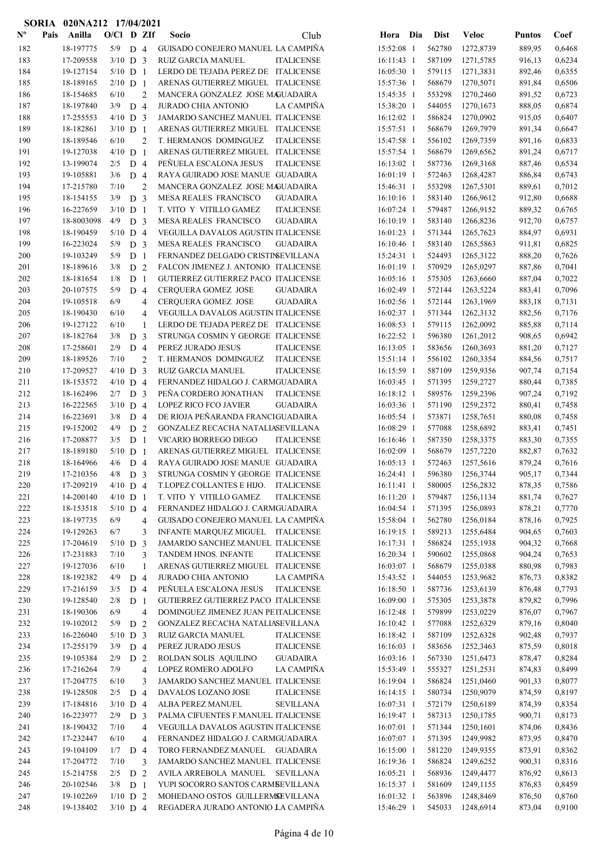|                           |      | SORIA 020NA212 17/04/2021 |                   |                |                |                                                                     |                   |                          |                  |                        |                  |                  |
|---------------------------|------|---------------------------|-------------------|----------------|----------------|---------------------------------------------------------------------|-------------------|--------------------------|------------------|------------------------|------------------|------------------|
| $\mathbf{N}^{\mathbf{o}}$ | Pais | Anilla                    | $O/Cl$ D ZIf      |                |                | Socio                                                               | Club              | Hora Dia                 | Dist             | <b>Veloc</b>           | <b>Puntos</b>    | Coef             |
| 182                       |      | 18-197775                 | 5/9               | D <sub>4</sub> |                | GUISADO CONEJERO MANUEL LA CAMPIÑA                                  |                   | 15:52:08 1               | 562780           | 1272,8739              | 889,95           | 0,6468           |
| 183                       |      | 17-209558                 | $3/10$ D 3        |                |                | RUIZ GARCIA MANUEL                                                  | <b>ITALICENSE</b> | 16:11:43 1               | 587109           | 1271,5785              | 916,13           | 0,6234           |
| 184                       |      | 19-127154                 | $5/10$ D 1        |                |                | LERDO DE TEJADA PEREZ DE ITALICENSE                                 |                   | 16:05:30 1               | 579115           | 1271,3831              | 892,46           | 0,6355           |
| 185                       |      | 18-189165                 | $2/10$ D 1        |                |                | ARENAS GUTIERREZ MIGUEL ITALICENSE                                  |                   | 15:57:36 1               | 568679           | 1270,5071              | 891,84           | 0,6506           |
| 186                       |      | 18-154685                 | 6/10              |                | $\overline{2}$ | MANCERA GONZALEZ JOSE MAGUADAIRA                                    |                   | 15:45:35 1               | 553298           | 1270,2460              | 891,52           | 0,6723           |
| 187                       |      | 18-197840                 | 3/9               | D <sub>4</sub> |                | <b>JURADO CHIA ANTONIO</b>                                          | LA CAMPIÑA        | 15:38:20 1               | 544055           | 1270,1673              | 888,05           | 0,6874           |
| 188                       |      | 17-255553                 | $4/10$ D 3        |                |                | JAMARDO SANCHEZ MANUEL ITALICENSE                                   |                   | 16:12:02 1               | 586824           | 1270,0902              | 915,05           | 0,6407           |
| 189                       |      | 18-182861                 | $3/10$ D 1        |                |                | ARENAS GUTIERREZ MIGUEL ITALICENSE                                  |                   | 15:57:51 1               | 568679           | 1269,7979              | 891,34           | 0,6647           |
| 190                       |      | 18-189546                 | 6/10              |                | 2              | T. HERMANOS DOMINGUEZ                                               | <b>ITALICENSE</b> | 15:47:58 1               | 556102           | 1269,7359              | 891,16           | 0,6833           |
| 191                       |      | 19-127038                 | $4/10$ D 1        |                |                | ARENAS GUTIERREZ MIGUEL ITALICENSE                                  |                   | 15:57:54 1               | 568679           | 1269,6562              | 891,24           | 0,6717           |
| 192                       |      | 13-199074                 | 2/5               | D <sub>4</sub> |                | PEÑUELA ESCALONA JESUS                                              | <b>ITALICENSE</b> | 16:13:02 1               | 587736           | 1269,3168              | 887,46           | 0,6534           |
| 193                       |      | 19-105881                 | 3/6               | D 4            |                | RAYA GUIRADO JOSE MANUE GUADAIRA                                    |                   | $16:01:19$ 1             | 572463           | 1268,4287              | 886,84           | 0,6743           |
| 194                       |      | 17-215780                 | 7/10              |                | $\overline{2}$ | MANCERA GONZALEZ JOSE MAGUADAIRA                                    |                   | 15:46:31 1               | 553298           | 1267,5301              | 889,61           | 0,7012           |
| 195                       |      | 18-154155                 | 3/9               | D <sub>3</sub> |                | MESA REALES FRANCISCO                                               | <b>GUADAIRA</b>   | $16:10:16$ 1             | 583140           | 1266,9612              | 912,80           | 0,6688           |
| 196                       |      | 16-227659                 | $3/10$ D 1        |                |                | T. VITO Y VITILLO GAMEZ                                             | <b>ITALICENSE</b> | 16:07:24 1               | 579487           | 1266,9152              | 889,32           | 0,6765           |
| 197                       |      | 18-8003098                | 4/9               | D <sub>3</sub> |                | MESA REALES FRANCISCO                                               | <b>GUADAIRA</b>   | 16:10:19 1               | 583140           | 1266,8236              | 912,70           | 0,6757           |
| 198                       |      | 18-190459                 | $5/10$ D 4        |                |                | VEGUILLA DAVALOS AGUSTIN ITALICENSE                                 |                   | 16:01:23 1               | 571344           | 1265,7623              | 884,97           | 0,6931           |
| 199                       |      | 16-223024                 | 5/9               | D <sub>3</sub> |                | MESA REALES FRANCISCO                                               | <b>GUADAIRA</b>   | 16:10:46 1               | 583140           | 1265,5863              | 911,81           | 0,6825           |
| 200                       |      | 19-103249                 | 5/9               | D <sub>1</sub> |                | FERNANDEZ DELGADO CRISTINSEVILLANA                                  |                   | 15:24:31 1               | 524493           | 1265,3122              | 888,20           | 0,7626           |
| 201                       |      | 18-189616                 | 3/8               | D 2            |                | FALCON JIMENEZ J. ANTONIO ITALICENSE                                |                   | 16:01:19 1               | 570929           | 1265,0297              | 887,86           | 0,7041           |
| 202                       |      | 18-181654                 | 1/8               | D <sub>1</sub> |                | GUTIERREZ GUTIERREZ PACO ITALICENSE                                 |                   | $16:05:16$ 1             | 575305           | 1263,6660              | 887,04           | 0,7022           |
| 203                       |      | 20-107575                 | 5/9               | D <sub>4</sub> |                | <b>CERQUERA GOMEZ JOSE</b>                                          | <b>GUADAIRA</b>   | 16:02:49 1               | 572144           | 1263,5224              | 883,41           | 0,7096           |
| 204                       |      | 19-105518                 | 6/9               |                | 4              | <b>CERQUERA GOMEZ JOSE</b>                                          | <b>GUADAIRA</b>   | $16:02:56$ 1             | 572144           | 1263,1969              | 883,18           | 0,7131           |
| 205                       |      | 18-190430                 | 6/10              |                | 4              | VEGUILLA DAVALOS AGUSTIN ITALICENSE                                 |                   | $16:02:37$ 1             | 571344           | 1262,3132              | 882,56           | 0,7176           |
| 206                       |      | 19-127122                 | 6/10              |                | 1              | LERDO DE TEJADA PEREZ DE ITALICENSE                                 |                   | 16:08:53 1               | 579115           | 1262,0092              | 885,88           | 0,7114           |
| 207                       |      | 18-182764                 | 3/8               | D              | 3              | STRUNGA COSMIN Y GEORGE ITALICENSE                                  |                   | 16:22:52 1               | 596380           | 1261,2012              | 908,65           | 0,6942           |
| 208                       |      | 17-258601                 | 2/9               | $D_4$          |                | PEREZ JURADO JESUS                                                  | <b>ITALICENSE</b> | 16:13:05 1               | 583656           | 1260,3693              | 881,20           | 0,7127           |
| 209                       |      | 18-189526                 | 7/10              |                | 2              | T. HERMANOS DOMINGUEZ                                               | <b>ITALICENSE</b> | 15:51:14 1               | 556102           | 1260,3354              | 884,56           | 0,7517           |
| 210                       |      | 17-209527                 | $4/10$ D 3        |                |                | RUIZ GARCIA MANUEL                                                  | <b>ITALICENSE</b> | 16:15:59 1               | 587109           | 1259,9356              | 907,74           | 0,7154           |
| 211                       |      | 18-153572                 | $4/10$ D 4        |                |                | FERNANDEZ HIDALGO J. CARMGUADAIRA                                   |                   | 16:03:45 1               | 571395           | 1259,2727              | 880,44           | 0,7385           |
| 212                       |      | 18-162496                 | 2/7               | D <sub>3</sub> |                | PEÑA CORDERO JONATHAN                                               | <b>ITALICENSE</b> | 16:18:12 1               | 589576           | 1259,2396              | 907,24           | 0,7192           |
| 213                       |      | 16-222565                 | $3/10$ D 4        |                |                | <b>LOPEZ RICO FCO JAVIER</b>                                        | <b>GUADAIRA</b>   | 16:03:36 1               | 571190           | 1259,2372              | 880,41           | 0,7458           |
| 214                       |      | 16-223691                 | 3/8               | D 4            |                | DE RIOJA PEÑARANDA FRANCIGUADAIRA                                   |                   | $16:05:54$ 1             | 573871           | 1258,7651              | 880,08           | 0,7458           |
| 215                       |      | 19-152002                 | 4/9               | D <sub>2</sub> |                | GONZALEZ RECACHA NATALIASEVILLANA                                   |                   | 16:08:29 1               | 577088           | 1258,6892              | 883,41           | 0,7451           |
| 216                       |      | 17-208877                 | 3/5               | D <sub>1</sub> |                | VICARIO BORREGO DIEGO                                               | <b>ITALICENSE</b> | 16:16:46 1               | 587350           | 1258,3375              | 883,30           | 0,7355           |
| 217                       |      | 18-189180                 | $5/10$ D 1        |                |                | ARENAS GUTIERREZ MIGUEL ITALICENSE                                  |                   | $16:02:09$ 1             | 568679           | 1257,7220              | 882,87           | 0,7632           |
| 218                       |      | 18-164966                 | 4/6               | D <sub>4</sub> |                | RAYA GUIRADO JOSE MANUE GUADAIRA                                    |                   | 16:05:13 1               | 572463           | 1257,5616              | 879,24           | 0,7616           |
| 219                       |      | 17-210356                 | 4/8               | D <sub>3</sub> |                | STRUNGA COSMIN Y GEORGE ITALICENSE                                  |                   | 16:24:41 1               | 596380           | 1256,3744              | 905,17           | 0,7344           |
| 220                       |      | 17-209219                 | $4/10$ D 4        |                |                | T.LOPEZ COLLANTES E HIJO. ITALICENSE                                |                   | 16:11:41 1               | 580005           | 1256,2832              | 878,35           | 0,7586           |
| 221                       |      | 14-200140                 | $4/10$ D 1        |                |                | T. VITO Y VITILLO GAMEZ                                             | <b>ITALICENSE</b> | 16:11:20 1               | 579487           | 1256,1134              | 881,74           | 0,7627           |
| 222                       |      | 18-153518                 | $5/10$ D 4        |                |                | FERNANDEZ HIDALGO J. CARMGUADAIRA                                   |                   | 16:04:54 1               | 571395           | 1256,0893              | 878,21           | 0,7770           |
| 223                       |      | 18-197735                 | 6/9               |                | 4              | GUISADO CONEJERO MANUEL LA CAMPIÑA                                  |                   | 15:58:04 1               | 562780           | 1256,0184              | 878,16           | 0,7925           |
| 224                       |      | 19-129263                 | 6/7               |                | 3              | INFANTE MARQUEZ MIGUEL ITALICENSE                                   |                   | 16:19:15 1               | 589213           | 1255,6484              | 904,65           | 0,7603           |
| 225                       |      | 17-204619                 | $5/10$ D 3        |                |                | JAMARDO SANCHEZ MANUEL ITALICENSE                                   |                   | 16:17:31 1               | 586824           | 1255,1938              | 904,32           | 0,7668           |
| 226                       |      | 17-231883                 | 7/10              |                | 3              | TANDEM HNOS. INFANTE                                                | <b>ITALICENSE</b> | 16:20:34 1               | 590602           | 1255,0868              | 904,24           | 0,7653           |
| 227                       |      | 19-127036                 | 6/10              |                | 1              | ARENAS GUTIERREZ MIGUEL ITALICENSE                                  |                   | 16:03:07 1               | 568679           | 1255,0388              | 880,98           | 0,7983           |
| 228                       |      | 18-192382                 | 4/9               | D 4            |                | <b>JURADO CHIA ANTONIO</b>                                          | LA CAMPIÑA        | 15:43:52 1               | 544055           | 1253,9682              | 876,73           | 0,8382           |
| 229                       |      | 17-216159                 | 3/5               | D 4            |                | PEÑUELA ESCALONA JESUS                                              | <b>ITALICENSE</b> | 16:18:50 1               | 587736           | 1253,6139              | 876,48           | 0,7793           |
| 230                       |      | 19-128540                 | 2/8               | D <sub>1</sub> |                | GUTIERREZ GUTIERREZ PACO ITALICENSE                                 |                   | 16:09:00 1               | 575305           | 1253,3878              | 879,82           | 0,7996           |
| 231                       |      | 18-190306                 | 6/9               |                | $\overline{4}$ | DOMINGUEZ JIMENEZ JUAN PEITALICENSE                                 |                   | 16:12:48 1               | 579899           | 1253,0229              | 876,07           | 0,7967           |
| 232                       |      | 19-102012                 | 5/9               | D <sub>2</sub> |                | GONZALEZ RECACHA NATALIASEVILLANA                                   |                   | $16:10:42$ 1             | 577088           | 1252,6329              | 879,16           | 0,8040           |
| 233                       |      | 16-226040                 | $5/10$ D 3        |                |                | RUIZ GARCIA MANUEL                                                  | <b>ITALICENSE</b> | 16:18:42 1               | 587109           | 1252,6328              | 902,48           | 0,7937           |
| 234                       |      | 17-255179                 | 3/9               | D 4            |                | PEREZ JURADO JESUS                                                  | <b>ITALICENSE</b> | $16:16:03$ 1             | 583656           | 1252,3463              | 875,59           | 0,8018           |
| 235                       |      | 19-105384                 | 2/9               | D 2            |                | ROLDAN SOLIS AQUILINO                                               | <b>GUADAIRA</b>   | $16:03:16$ 1             | 567330           | 1251,6473              | 878,47           | 0,8284           |
| 236                       |      | 17-216264                 | 7/9               |                | $\overline{4}$ | LOPEZ ROMERO ADOLFO                                                 | LA CAMPIÑA        | 15:53:49 1               | 555327           | 1251,2531              | 874,83           | 0,8499           |
| 237                       |      | 17-204775                 | 6/10              |                | 3              | JAMARDO SANCHEZ MANUEL ITALICENSE                                   |                   | 16:19:04 1               | 586824           | 1251,0460              | 901,33           | 0,8077           |
| 238                       |      | 19-128508                 | $2/5$ D 4         |                |                | DAVALOS LOZANO JOSE                                                 | <b>ITALICENSE</b> | $16:14:15$ 1             | 580734           | 1250,9079              | 874,59           | 0,8197           |
| 239<br>240                |      | 17-184816<br>16-223977    | $3/10$ D 4        |                |                | ALBA PEREZ MANUEL<br>PALMA CIFUENTES F.MANUEL ITALICENSE            | <b>SEVILLANA</b>  | 16:07:31 1               | 572179<br>587313 | 1250,6189              | 874,39           | 0,8354           |
|                           |      |                           | $2/9$ D 3         |                |                |                                                                     |                   | 16:19:47 1               |                  | 1250,1785              | 900,71           | 0,8173           |
| 241                       |      | 18-190432<br>17-232447    | 7/10<br>6/10      |                | 4              | VEGUILLA DAVALOS AGUSTIN ITALICENSE                                 |                   | $16:07:01$ 1             | 571344<br>571395 | 1250,1601<br>1249,9982 | 874,06           | 0,8436           |
| 242<br>243                |      | 19-104109                 |                   |                | 4              | FERNANDEZ HIDALGO J. CARMGUADAIRA<br>TORO FERNANDEZ MANUEL GUADAIRA |                   | 16:07:07 1<br>16:15:00 1 | 581220           | 1249,9355              | 873,95<br>873,91 | 0,8470<br>0,8362 |
| 244                       |      | 17-204772                 | $1/7$ D 4<br>7/10 |                | 3              | JAMARDO SANCHEZ MANUEL ITALICENSE                                   |                   | 16:19:36 1               | 586824           | 1249,6252              | 900,31           | 0,8316           |
| 245                       |      | 15-214758                 | $2/5$ D 2         |                |                | AVILA ARREBOLA MANUEL SEVILLANA                                     |                   | 16:05:21 1               | 568936           | 1249,4477              | 876,92           | 0,8613           |
| 246                       |      | 20-102546                 | $3/8$ D 1         |                |                | YUPI SOCORRO SANTOS CARMBEVILLANA                                   |                   | 16:15:37 1               | 581609           | 1249,1155              | 876,83           | 0,8459           |
| 247                       |      | 19-102269                 | $1/10$ D 2        |                |                | MOHEDANO OSTOS GUILLERMSEVILLANA                                    |                   | $16:01:32$ 1             | 563896           | 1248,8469              | 876,50           | 0,8760           |
| 248                       |      | 19-138402                 | $3/10$ D 4        |                |                | REGADERA JURADO ANTONIO LA CAMPIÑA                                  |                   | 15:46:29 1               | 545033           | 1248,6914              | 873,04           | 0,9100           |
|                           |      |                           |                   |                |                |                                                                     |                   |                          |                  |                        |                  |                  |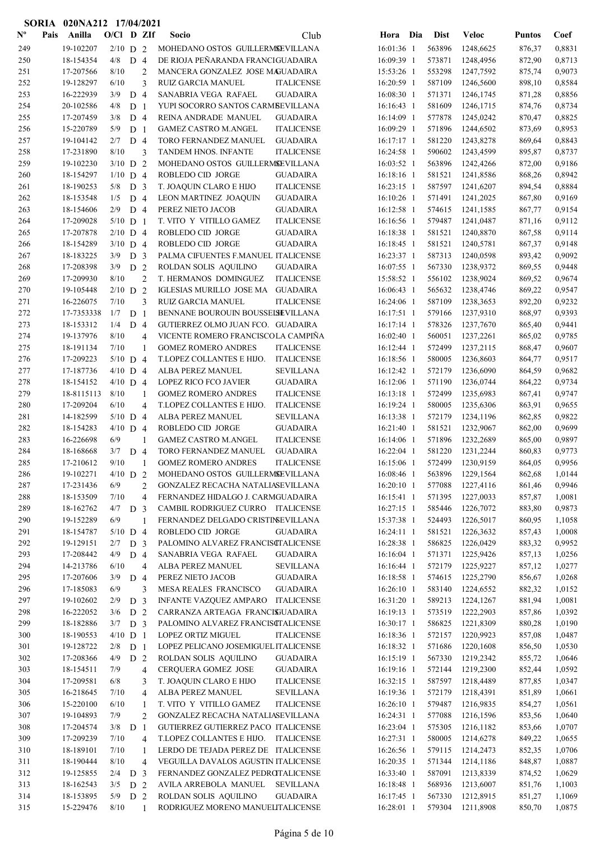|                           |      | SORIA 020NA212 17/04/2021 |                    |                |                |                                                |                                        |                          |                  |                        |                  |                  |
|---------------------------|------|---------------------------|--------------------|----------------|----------------|------------------------------------------------|----------------------------------------|--------------------------|------------------|------------------------|------------------|------------------|
| $\mathbf{N}^{\mathbf{o}}$ | Pais | Anilla                    | $O/Cl$ D ZIf       |                |                | Socio                                          | Club                                   | Hora Dia                 | Dist             | <b>Veloc</b>           | <b>Puntos</b>    | Coef             |
| 249                       |      | 19-102207                 | $2/10$ D 2         |                |                | MOHEDANO OSTOS GUILLERMSEVILLANA               |                                        | 16:01:36 1               | 563896           | 1248,6625              | 876,37           | 0,8831           |
| 250                       |      | 18-154354                 | 4/8                | D <sub>4</sub> |                | DE RIOJA PEÑARANDA FRANCIGUADAIRA              |                                        | 16:09:39 1               | 573871           | 1248,4956              | 872,90           | 0,8713           |
| 251                       |      | 17-207566                 | 8/10               |                | $\overline{c}$ | MANCERA GONZALEZ JOSE MAGUADAIRA               |                                        | 15:53:26 1               | 553298           | 1247,7592              | 875,74           | 0,9073           |
| 252                       |      | 19-128297                 | 6/10               |                | 3              | RUIZ GARCIA MANUEL                             | <b>ITALICENSE</b>                      | 16:20:59 1               | 587109           | 1246,5600              | 898,10           | 0,8584           |
| 253                       |      | 16-222939                 | 3/9                | D <sub>4</sub> |                | SANABRIA VEGA RAFAEL                           | <b>GUADAIRA</b>                        | 16:08:30 1               | 571371           | 1246,1745              | 871,28           | 0,8856           |
| 254                       |      | 20-102586                 | 4/8                | D <sub>1</sub> |                | YUPI SOCORRO SANTOS CARMBEVILLANA              |                                        | 16:16:43 1               | 581609           | 1246,1715              | 874,76           | 0,8734           |
| 255                       |      | 17-207459                 | 3/8                | D 4            |                | REINA ANDRADE MANUEL                           | <b>GUADAIRA</b>                        | 16:14:09 1               | 577878           | 1245,0242              | 870,47           | 0,8825           |
| 256                       |      | 15-220789                 | 5/9                | D <sub>1</sub> |                | <b>GAMEZ CASTRO M.ANGEL</b>                    | <b>ITALICENSE</b>                      | 16:09:29 1               | 571896           | 1244,6502              | 873,69           | 0,8953           |
| 257                       |      | 19-104142                 | 2/7                | D <sub>4</sub> |                | TORO FERNANDEZ MANUEL                          | <b>GUADAIRA</b>                        | $16:17:17$ 1             | 581220           | 1243,8278              | 869,64           | 0,8843           |
| 258                       |      | 17-231890                 | 8/10               |                | 3              | TANDEM HNOS. INFANTE                           | <b>ITALICENSE</b>                      | 16:24:58 1               | 590602           | 1243,4599              | 895,87           | 0,8737           |
| 259                       |      | 19-102230                 | $3/10$ D 2         |                |                | MOHEDANO OSTOS GUILLERMSEVILLANA               |                                        | 16:03:52 1               | 563896           | 1242,4266              | 872,00           | 0,9186           |
| 260                       |      | 18-154297                 | $1/10$ D 4         |                |                | ROBLEDO CID JORGE                              | GUADAIRA                               | 16:18:16 1               | 581521           | 1241,8586              | 868,26           | 0,8942           |
| 261                       |      | 18-190253                 | 5/8                | D <sub>3</sub> |                | T. JOAQUIN CLARO E HIJO                        | <b>ITALICENSE</b>                      | 16:23:15 1               | 587597           | 1241,6207              | 894,54           | 0,8884           |
| 262                       |      | 18-153548                 | 1/5                | D <sub>4</sub> |                | LEON MARTINEZ JOAQUIN                          | <b>GUADAIRA</b>                        | 16:10:26 1               | 571491           | 1241,2025              | 867,80           | 0,9169           |
| 263                       |      | 18-154606                 | 2/9                | D <sub>4</sub> |                | PEREZ NIETO JACOB                              | <b>GUADAIRA</b>                        | 16:12:58 1               | 574615           | 1241,1585              | 867,77           | 0,9154           |
| 264                       |      | 17-209028                 | $5/10$ D 1         |                |                | T. VITO Y VITILLO GAMEZ                        | <b>ITALICENSE</b>                      | 16:16:56 1               | 579487           | 1241,0487              | 871,16           | 0,9112           |
| 265                       |      | 17-207878                 | $2/10$ D 4         |                |                | ROBLEDO CID JORGE                              | <b>GUADAIRA</b>                        | 16:18:38 1               | 581521           | 1240,8870              | 867,58           | 0,9114           |
| 266                       |      | 18-154289                 | $3/10$ D 4         |                |                | ROBLEDO CID JORGE                              | <b>GUADAIRA</b>                        | 16:18:45 1               | 581521           | 1240,5781              | 867,37           | 0,9148           |
| 267                       |      | 18-183225                 | 3/9                | D <sub>3</sub> |                | PALMA CIFUENTES F.MANUEL ITALICENSE            |                                        | 16:23:37 1               | 587313           | 1240,0598              | 893,42           | 0,9092           |
| 268                       |      | 17-208398                 | 3/9                | D <sub>2</sub> |                | ROLDAN SOLIS AQUILINO                          | <b>GUADAIRA</b>                        | 16:07:55 1               | 567330           | 1238,9372              | 869,55           | 0,9448           |
| 269                       |      | 17-209930                 | $8/10$             |                | $\overline{c}$ | T. HERMANOS DOMINGUEZ                          | <b>ITALICENSE</b>                      | 15:58:52 1               | 556102           | 1238,9024              | 869,52           | 0,9674           |
| 270                       |      | 19-105448                 | $2/10$ D 2         |                |                | IGLESIAS MURILLO JOSE MA                       | <b>GUADAIRA</b>                        | $16:06:43$ 1             | 565632           | 1238,4746              | 869,22           | 0,9547           |
| 271                       |      | 16-226075                 | 7/10               |                | 3              | <b>RUIZ GARCIA MANUEL</b>                      | <b>ITALICENSE</b>                      | 16:24:06 1               | 587109           | 1238,3653              | 892,20           | 0,9232           |
| 272                       |      | 17-7353338                | 1/7                | D <sub>1</sub> |                | BENNANE BOUROUIN BOUSSELSEVILLANA              |                                        | $16:17:51$ 1             | 579166           | 1237,9310              | 868,97           | 0,9393           |
| 273                       |      | 18-153312                 | 1/4                | D <sub>4</sub> |                | GUTIERREZ OLMO JUAN FCO. GUADAIRA              |                                        | 16:17:14 1               | 578326           | 1237,7670              | 865,40           | 0,9441           |
| 274                       |      | 19-137976                 | 8/10               |                | 4              | VICENTE ROMERO FRANCISCOLA CAMPIÑA             |                                        | 16:02:40 1               | 560051           | 1237,2261              | 865,02           | 0,9785           |
| 275                       |      | 18-191134                 | 7/10               |                | 1              | <b>GOMEZ ROMERO ANDRES</b>                     | <b>ITALICENSE</b>                      | 16:12:44 1               | 572499           | 1237,2115              | 868,47           | 0,9607           |
| 276                       |      | 17-209223                 | $5/10$ D 4         |                |                | T.LOPEZ COLLANTES E HIJO.                      | <b>ITALICENSE</b>                      | 16:18:56 1               | 580005           | 1236,8603              | 864,77           | 0,9517           |
| 277                       |      | 17-187736                 | $4/10$ D 4         |                |                | ALBA PEREZ MANUEL                              | <b>SEVILLANA</b>                       | 16:12:42 1               | 572179           | 1236,6090              | 864,59           | 0,9682           |
| 278                       |      | 18-154152                 | $4/10$ D 4         |                |                | LOPEZ RICO FCO JAVIER                          | <b>GUADAIRA</b>                        | 16:12:06 1               | 571190           | 1236,0744              | 864,22           | 0,9734           |
| 279                       |      | 18-8115113                | 8/10               |                | $\mathbf{1}$   | <b>GOMEZ ROMERO ANDRES</b>                     | <b>ITALICENSE</b><br><b>ITALICENSE</b> | 16:13:18 1               | 572499           | 1235,6983              | 867,41           | 0,9747           |
| 280                       |      | 17-209204<br>14-182599    | 6/10<br>$5/10$ D 4 |                | 4              | T.LOPEZ COLLANTES E HIJO.<br>ALBA PEREZ MANUEL | <b>SEVILLANA</b>                       | 16:19:24 1<br>16:13:38 1 | 580005<br>572179 | 1235,6306              | 863,91           | 0,9655<br>0,9822 |
| 281<br>282                |      | 18-154283                 | $4/10$ D 4         |                |                | ROBLEDO CID JORGE                              | <b>GUADAIRA</b>                        | 16:21:40 1               | 581521           | 1234,1196<br>1232,9067 | 862,85<br>862,00 | 0,9699           |
| 283                       |      | 16-226698                 | 6/9                |                | 1              | <b>GAMEZ CASTRO M.ANGEL</b>                    | <b>ITALICENSE</b>                      | 16:14:06 1               | 571896           | 1232,2689              | 865,00           | 0,9897           |
| 284                       |      | 18-168668                 | 3/7                | D <sub>4</sub> |                | <b>TORO FERNANDEZ MANUEL</b>                   | <b>GUADAIRA</b>                        | 16:22:04 1               | 581220           | 1231,2244              | 860,83           | 0,9773           |
| 285                       |      | 17-210612                 | 9/10               |                |                | <b>GOMEZ ROMERO ANDRES</b>                     | <b>ITALICENSE</b>                      | 16:15:06 1               | 572499           | 1230,9159              | 864,05           | 0,9956           |
| 286                       |      | 19-102271                 | $4/10$ D 2         |                |                | MOHEDANO OSTOS GUILLERMSEVILLANA               |                                        | 16:08:46 1               | 563896           | 1229,1564              | 862,68           | 1,0144           |
| 287                       |      | 17-231436                 | 6/9                |                | $\overline{c}$ | GONZALEZ RECACHA NATALIASEVILLANA              |                                        | 16:20:10 1               | 577088           | 1227,4116              | 861,46           | 0,9946           |
| 288                       |      | 18-153509                 | 7/10               |                | $\overline{4}$ | FERNANDEZ HIDALGO J. CARMGUADAIRA              |                                        | 16:15:41 1               | 571395           | 1227,0033              | 857,87           | 1,0081           |
| 289                       |      | 18-162762                 | $4/7$ D 3          |                |                | CAMBIL RODRIGUEZ CURRO ITALICENSE              |                                        | 16:27:15 1               | 585446           | 1226,7072              | 883,80           | 0,9873           |
| 290                       |      | 19-152289                 | 6/9                |                | 1              | FERNANDEZ DELGADO CRISTINEVILLANA              |                                        | 15:37:38 1               | 524493           | 1226,5017              | 860,95           | 1,1058           |
| 291                       |      | 18-154787                 | $5/10$ D 4         |                |                | ROBLEDO CID JORGE                              | <b>GUADAIRA</b>                        | 16:24:11 1               | 581521           | 1226,3632              | 857,43           | 1,0008           |
| 292                       |      | 19-129151                 | 2/7                | D <sub>3</sub> |                | PALOMINO ALVAREZ FRANCISCTALICENSE             |                                        | 16:28:38 1               | 586825           | 1226,0429              | 883,32           | 0,9952           |
| 293                       |      | 17-208442                 | 4/9                | D 4            |                | SANABRIA VEGA RAFAEL                           | GUADAIRA                               | 16:16:04 1               | 571371           | 1225,9426              | 857,13           | 1,0256           |
| 294                       |      | 14-213786                 | 6/10               |                | 4              | ALBA PEREZ MANUEL                              | ${\tt SEVILLANA}$                      | 16:16:44 1               | 572179           | 1225,9227              | 857,12           | 1,0277           |
| 295                       |      | 17-207606                 | 3/9                | D 4            |                | PEREZ NIETO JACOB                              | <b>GUADAIRA</b>                        | 16:18:58 1               | 574615           | 1225,2790              | 856,67           | 1,0268           |
| 296                       |      | 17-185083                 | 6/9                |                | 3              | MESA REALES FRANCISCO                          | <b>GUADAIRA</b>                        | $16:26:10$ 1             | 583140           | 1224,6552              | 882,32           | 1,0152           |
| 297                       |      | 19-102602                 | 2/9                | D <sub>3</sub> |                | INFANTE VAZQUEZ AMPARO                         | <b>ITALICENSE</b>                      | 16:31:20 1               | 589213           | 1224,1267              | 881,94           | 1,0081           |
| 298                       |      | 16-222052                 | 3/6                | D 2            |                | CARRANZA ARTEAGA FRANCISJUADAIRA               |                                        | 16:19:13 1               | 573519           | 1222,2903              | 857,86           | 1,0392           |
| 299                       |      | 18-182886                 | 3/7                | D <sub>3</sub> |                | PALOMINO ALVAREZ FRANCISCTALICENSE             |                                        | 16:30:17 1               | 586825           | 1221,8309              | 880,28           | 1,0190           |
| 300                       |      | 18-190553                 | $4/10$ D 1         |                |                | LOPEZ ORTIZ MIGUEL                             | <b>ITALICENSE</b>                      | 16:18:36 1               | 572157           | 1220,9923              | 857,08           | 1,0487           |
| 301                       |      | 19-128722                 | 2/8                | D <sub>1</sub> |                | LOPEZ PELICANO JOSEMIGUEL ITALICENSE           |                                        | 16:18:32 1               | 571686           | 1220,1608              | 856,50           | 1,0530           |
| 302                       |      | 17-208366                 | 4/9                | D 2            |                | ROLDAN SOLIS AQUILINO                          | <b>GUADAIRA</b>                        | 16:15:19 1               | 567330           | 1219,2342              | 855,72           | 1,0646           |
| 303                       |      | 18-154511                 | 7/9                |                | 4              | CERQUERA GOMEZ JOSE                            | <b>GUADAIRA</b>                        | 16:19:16 1               | 572144           | 1219,2300              | 852,44           | 1,0592           |
| 304                       |      | 17-209581                 | 6/8                |                | 3              | T. JOAQUIN CLARO E HIJO                        | <b>ITALICENSE</b>                      | $16:32:15$ 1             | 587597           | 1218,4489              | 877,85           | 1,0347           |
| 305                       |      | 16-218645                 | 7/10               |                | 4              | ALBA PEREZ MANUEL                              | SEVILLANA                              | 16:19:36 1               | 572179           | 1218,4391              | 851,89           | 1,0661           |
| 306                       |      | 15-220100                 | 6/10               |                | 1              | T. VITO Y VITILLO GAMEZ                        | <b>ITALICENSE</b>                      | 16:26:10 1               | 579487           | 1216,9835              | 854,27           | 1,0561           |
| 307                       |      | 19-104893                 | 7/9                |                | 2              | GONZALEZ RECACHA NATALIASEVILLANA              |                                        | $16:24:31$ 1             | 577088           | 1216,1596              | 853,56           | 1,0640           |
| 308                       |      | 17-204574                 | $3/8$ D 1          |                |                | GUTIERREZ GUTIERREZ PACO ITALICENSE            |                                        | 16:23:04 1               | 575305           | 1216,1182              | 853,66           | 1,0707           |
| 309                       |      | 17-209239                 | 7/10               |                | 4              | T.LOPEZ COLLANTES E HIJO.                      | <b>ITALICENSE</b>                      | 16:27:31 1               | 580005           | 1214,6278              | 849,22           | 1,0655           |
| 310                       |      | 18-189101                 | 7/10               |                | 1              | LERDO DE TEJADA PEREZ DE ITALICENSE            |                                        | 16:26:56 1               | 579115           | 1214,2473              | 852,35           | 1,0706           |
| 311                       |      | 18-190444                 | 8/10               |                | 4              | VEGUILLA DAVALOS AGUSTIN ITALICENSE            |                                        | 16:20:35 1               | 571344           | 1214,1186              | 848,87           | 1,0887           |
| 312                       |      | 19-125855                 | $2/4$ D 3          |                |                | FERNANDEZ GONZALEZ PEDROTALICENSE              |                                        | 16:33:40 1               | 587091           | 1213,8339              | 874,52           | 1,0629           |
| 313                       |      | 18-162543                 | 3/5                | D 2            |                | AVILA ARREBOLA MANUEL                          | SEVILLANA                              | 16:18:48 1               | 568936           | 1213,6007              | 851,76           | 1,1003           |
| 314                       |      | 18-153895                 | $5/9$ D 2          |                |                | ROLDAN SOLIS AQUILINO                          | <b>GUADAIRA</b>                        | 16:17:45 1               | 567330           | 1212,8915              | 851,27           | 1,1069           |
| 315                       |      | 15-229476                 | 8/10               |                | $\mathbf{1}$   | RODRIGUEZ MORENO MANUELITALICENSE              |                                        | 16:28:01 1               | 579304           | 1211,8908              | 850,70           | 1,0875           |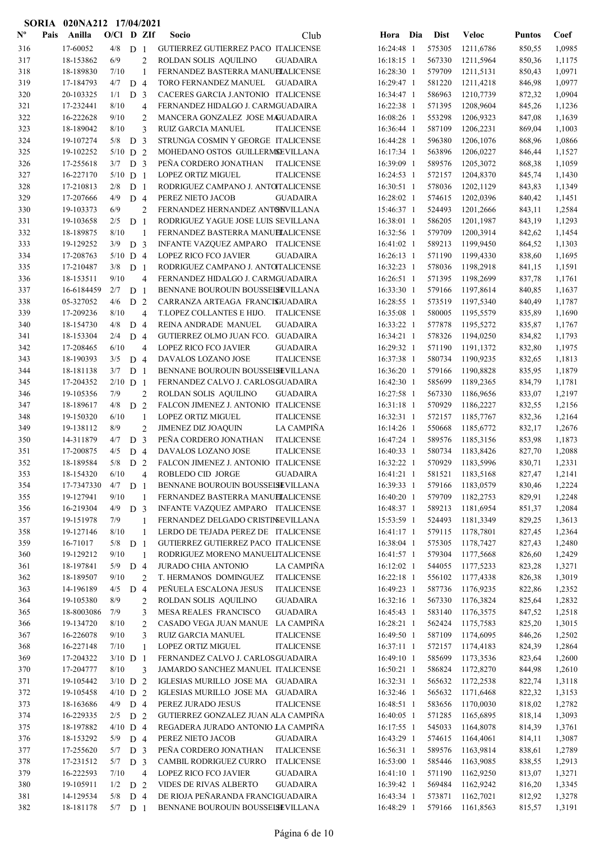|                           |      | SORIA 020NA212 17/04/2021 |              |                |                                  |                                                                                        |                            |                  |                        |                  |                  |
|---------------------------|------|---------------------------|--------------|----------------|----------------------------------|----------------------------------------------------------------------------------------|----------------------------|------------------|------------------------|------------------|------------------|
| $\mathbf{N}^{\mathbf{o}}$ | Pais | Anilla                    | $O/CI$ D ZIf |                |                                  | Socio<br>Club                                                                          | Hora Dia                   | <b>Dist</b>      | <b>Veloc</b>           | <b>Puntos</b>    | Coef             |
| 316                       |      | 17-60052                  | 4/8          | D <sub>1</sub> |                                  | GUTIERREZ GUTIERREZ PACO ITALICENSE                                                    | 16:24:48 1                 | 575305           | 1211,6786              | 850,55           | 1,0985           |
| 317                       |      | 18-153862                 | 6/9          |                | $\overline{2}$                   | ROLDAN SOLIS AQUILINO<br><b>GUADAIRA</b>                                               | 16:18:15 1                 | 567330           | 1211,5964              | 850,36           | 1,1175           |
| 318                       |      | 18-189830                 | 7/10         |                | 1                                | FERNANDEZ BASTERRA MANUELALICENSE                                                      | 16:28:30 1                 | 579709           | 1211,5131              | 850,43           | 1,0971           |
| 319                       |      | 17-184793                 | 4/7          | D <sub>4</sub> |                                  | TORO FERNANDEZ MANUEL<br><b>GUADAIRA</b>                                               | 16:29:47 1                 | 581220           | 1211,4218              | 846,98           | 1,0977           |
| 320                       |      | 20-103325                 | 1/1          | D <sub>3</sub> |                                  | CACERES GARCIA J.ANTONIO ITALICENSE                                                    | 16:34:47 1                 | 586963           | 1210,7739              | 872,32           | 1,0904           |
| 321                       |      | 17-232441                 | 8/10         |                | 4                                | FERNANDEZ HIDALGO J. CARMGUADAIRA                                                      | 16:22:38 1                 | 571395           | 1208,9604              | 845,26           | 1,1236           |
| 322                       |      | 16-222628                 | 9/10         |                | $\overline{c}$                   | MANCERA GONZALEZ JOSE MAGUADAIRA                                                       | 16:08:26 1                 | 553298           | 1206,9323              | 847,08           | 1,1639           |
| 323                       |      | 18-189042                 | 8/10         |                | 3                                | <b>RUIZ GARCIA MANUEL</b><br><b>ITALICENSE</b>                                         | 16:36:44 1                 | 587109           | 1206,2231              | 869,04           | 1,1003           |
| 324                       |      | 19-107274                 | 5/8          | D              | 3                                | STRUNGA COSMIN Y GEORGE ITALICENSE                                                     | 16:44:28 1                 | 596380           | 1206,1076              | 868,96           | 1,0866           |
| 325                       |      | 19-102252                 | $5/10$ D 2   |                |                                  | MOHEDANO OSTOS GUILLERMSEVILLANA                                                       | 16:17:34 1                 | 563896           | 1206,0227              | 846,44           | 1,1527           |
| 326                       |      | 17-255618                 | 3/7          | D <sub>3</sub> |                                  | PEÑA CORDERO JONATHAN<br><b>ITALICENSE</b>                                             | 16:39:09 1                 | 589576           | 1205,3072              | 868,38           | 1,1059           |
| 327                       |      | 16-227170                 | $5/10$ D 1   |                |                                  | LOPEZ ORTIZ MIGUEL<br><b>ITALICENSE</b>                                                | 16:24:53 1                 | 572157           | 1204,8370              | 845,74           | 1,1430           |
| 328                       |      | 17-210813                 | 2/8          | D <sub>1</sub> |                                  | RODRIGUEZ CAMPANO J. ANTOITALICENSE                                                    | 16:30:51 1                 | 578036           | 1202,1129              | 843,83           | 1,1349           |
| 329                       |      | 17-207666                 | 4/9          | D <sub>4</sub> |                                  | PEREZ NIETO JACOB<br><b>GUADAIRA</b>                                                   | 16:28:02 1                 | 574615           | 1202,0396              | 840,42           | 1,1451           |
| 330                       |      | 19-103373                 | 6/9          |                | $\overline{2}$                   | FERNANDEZ HERNANDEZ ANTONVILLANA                                                       | 15:46:37 1                 | 524493           | 1201,2666              | 843,11           | 1,2584           |
| 331                       |      | 19-103658                 | 2/5          | D <sub>1</sub> |                                  | RODRIGUEZ YAGUE JOSE LUIS SEVILLANA                                                    | 16:38:01 1                 | 586205           | 1201,1987              | 843,19           | 1,1293           |
| 332                       |      | 18-189875                 | 8/10         |                | 1                                | FERNANDEZ BASTERRA MANUELALICENSE                                                      | 16:32:56 1                 | 579709           | 1200,3914              | 842,62           | 1,1454           |
| 333                       |      | 19-129252                 | 3/9          | D <sub>3</sub> |                                  | INFANTE VAZQUEZ AMPARO ITALICENSE                                                      | 16:41:02 1                 | 589213           | 1199,9450              | 864,52           | 1,1303           |
| 334                       |      | 17-208763                 | $5/10$ D 4   |                |                                  | LOPEZ RICO FCO JAVIER<br><b>GUADAIRA</b>                                               | $16:26:13$ 1               | 571190           | 1199,4330              | 838,60           | 1,1695           |
| 335                       |      | 17-210487                 | 3/8          | D <sub>1</sub> |                                  | RODRIGUEZ CAMPANO J. ANTOITALICENSE                                                    | 16:32:23 1                 | 578036           | 1198,2918              | 841,15           | 1,1591           |
| 336                       |      | 18-153511                 | 9/10         |                | 4                                | FERNANDEZ HIDALGO J. CARMGUADAIRA                                                      | $16:26:51$ 1               | 571395           | 1198,2699              | 837,78           | 1,1761           |
| 337                       |      | 16-6184459                | 2/7          | D <sub>1</sub> |                                  | BENNANE BOUROUIN BOUSSEISEVILLANA                                                      | 16:33:30 1                 | 579166           | 1197,8614              | 840,85           | 1,1637           |
| 338                       |      | 05-327052                 | 4/6          | D <sub>2</sub> |                                  | CARRANZA ARTEAGA FRANCISJUADAIRA                                                       | 16:28:55 1                 | 573519           | 1197,5340              | 840,49           | 1,1787           |
| 339                       |      | 17-209236                 | 8/10         |                | $\overline{4}$                   | T.LOPEZ COLLANTES E HIJO.<br><b>ITALICENSE</b>                                         | 16:35:08 1                 | 580005           | 1195,5579              | 835,89           | 1,1690           |
| 340                       |      | 18-154730                 | 4/8          | D <sub>4</sub> |                                  | REINA ANDRADE MANUEL<br><b>GUADAIRA</b>                                                | 16:33:22 1                 | 577878           | 1195,5272              | 835,87           | 1,1767           |
| 341                       |      | 18-153304                 | 2/4          | D <sub>4</sub> |                                  | GUTIERREZ OLMO JUAN FCO. GUADAIRA                                                      | 16:34:21 1                 | 578326           | 1194,0250              | 834,82           | 1,1793           |
| 342                       |      | 17-208465                 | 6/10         |                | 4                                | LOPEZ RICO FCO JAVIER<br><b>GUADAIRA</b>                                               | 16:29:32 1                 | 571190           | 1191,1372              | 832,80           | 1,1975           |
| 343                       |      | 18-190393                 | 3/5          | D 4            |                                  | DAVALOS LOZANO JOSE<br><b>ITALICENSE</b>                                               | 16:37:38 1                 | 580734           | 1190,9235              | 832,65           | 1,1813           |
| 344                       |      | 18-181138                 | 3/7          | D <sub>1</sub> |                                  | BENNANE BOUROUIN BOUSSEISEVILLANA                                                      | 16:36:20 1                 | 579166           | 1190,8828              | 835,95           | 1,1879           |
| 345                       |      | 17-204352                 | $2/10$ D 1   |                |                                  | FERNANDEZ CALVO J. CARLOSGUADAIRA                                                      | 16:42:30 1                 | 585699           | 1189,2365              | 834,79           | 1,1781           |
| 346                       |      | 19-105356<br>18-189617    | 7/9<br>4/8   |                | $\overline{2}$<br>$\overline{2}$ | ROLDAN SOLIS AQUILINO<br><b>GUADAIRA</b>                                               | 16:27:58 1                 | 567330           | 1186,9656              | 833,07           | 1,2197           |
| 347<br>348                |      | 19-150320                 | 6/10         | D              | $\mathbf{1}$                     | FALCON JIMENEZ J. ANTONIO ITALICENSE<br><b>LOPEZ ORTIZ MIGUEL</b><br><b>ITALICENSE</b> | $16:31:18$ 1<br>16:32:31 1 | 570929<br>572157 | 1186,2227<br>1185,7767 | 832,55           | 1,2156<br>1,2164 |
| 349                       |      | 19-138112                 | 8/9          |                | $\overline{c}$                   | JIMENEZ DIZ JOAQUIN<br>LA CAMPIÑA                                                      | 16:14:26 1                 | 550668           | 1185,6772              | 832,36<br>832,17 | 1,2676           |
| 350                       |      | 14-311879                 | 4/7          | D <sub>3</sub> |                                  | PEÑA CORDERO JONATHAN<br><b>ITALICENSE</b>                                             | 16:47:24 1                 | 589576           | 1185,3156              | 853,98           | 1,1873           |
| 351                       |      | 17-200875                 | 4/5          | D 4            |                                  | DAVALOS LOZANO JOSE<br><b>ITALICENSE</b>                                               | 16:40:33 1                 | 580734           | 1183,8426              | 827,70           | 1,2088           |
| 352                       |      | 18-189584                 | 5/8          | D <sub>2</sub> |                                  | FALCON JIMENEZ J. ANTONIO ITALICENSE                                                   | 16:32:22 1                 | 570929           | 1183,5996              | 830,71           | 1,2331           |
| 353                       |      | 18-154320                 | 6/10         |                | 4                                | ROBLEDO CID JORGE<br><b>GUADAIRA</b>                                                   | 16:41:21 1                 | 581521           | 1183,5168              | 827,47           | 1,2141           |
| 354                       |      | 17-7347330                | $4/7$ D 1    |                |                                  | BENNANE BOUROUIN BOUSSEISEVILLANA                                                      | 16:39:33 1                 | 579166           | 1183,0579              | 830,46           | 1,2224           |
| 355                       |      | 19-127941                 | 9/10         |                | 1                                | FERNANDEZ BASTERRA MANUELALICENSE                                                      | 16:40:20 1                 | 579709           | 1182,2753              | 829,91           | 1,2248           |
| 356                       |      | 16-219304                 | 4/9          | D <sub>3</sub> |                                  | INFANTE VAZQUEZ AMPARO ITALICENSE                                                      | 16:48:37 1                 | 589213           | 1181,6954              | 851,37           | 1,2084           |
| 357                       |      | 19-151978                 | 7/9          |                | 1                                | FERNANDEZ DELGADO CRISTINEVILLANA                                                      | 15:53:59 1                 | 524493           | 1181,3349              | 829,25           | 1,3613           |
| 358                       |      | 19-127146                 | 8/10         |                | $\mathbf{1}$                     | LERDO DE TEJADA PEREZ DE ITALICENSE                                                    | 16:41:17 1                 | 579115           | 1178,7801              | 827,45           | 1,2364           |
| 359                       |      | 16-71017                  | 5/8          | D <sub>1</sub> |                                  | GUTIERREZ GUTIERREZ PACO ITALICENSE                                                    | 16:38:04 1                 | 575305           | 1178,7427              | 827,43           | 1,2480           |
| 360                       |      | 19-129212                 | 9/10         |                | 1                                | RODRIGUEZ MORENO MANUELITALICENSE                                                      | 16:41:57 1                 | 579304           | 1177,5668              | 826,60           | 1,2429           |
| 361                       |      | 18-197841                 | 5/9          | D <sub>4</sub> |                                  | <b>JURADO CHIA ANTONIO</b><br>LA CAMPIÑA                                               | 16:12:02 1                 | 544055           | 1177,5233              | 823,28           | 1,3271           |
| 362                       |      | 18-189507                 | 9/10         |                | 2                                | T. HERMANOS DOMINGUEZ<br><b>ITALICENSE</b>                                             | 16:22:18 1                 | 556102           | 1177,4338              | 826,38           | 1,3019           |
| 363                       |      | 14-196189                 | 4/5          | D 4            |                                  | PEÑUELA ESCALONA JESUS<br><b>ITALICENSE</b>                                            | 16:49:23 1                 | 587736           | 1176,9235              | 822,86           | 1,2352           |
| 364                       |      | 19-105380                 | 8/9          |                | $\overline{c}$                   | ROLDAN SOLIS AQUILINO<br><b>GUADAIRA</b>                                               | 16:32:16 1                 | 567330           | 1176,3824              | 825,64           | 1,2832           |
| 365                       |      | 18-8003086                | 7/9          |                | 3                                | MESA REALES FRANCISCO<br><b>GUADAIRA</b>                                               | 16:45:43 1                 | 583140           | 1176,3575              | 847,52           | 1,2518           |
| 366                       |      | 19-134720                 | 8/10         |                | 2                                | LA CAMPIÑA<br>CASADO VEGA JUAN MANUE                                                   | 16:28:21 1                 | 562424           | 1175,7583              | 825,20           | 1,3015           |
| 367                       |      | 16-226078                 | 9/10         |                | 3                                | <b>ITALICENSE</b><br>RUIZ GARCIA MANUEL                                                | 16:49:50 1                 | 587109           | 1174,6095              | 846,26           | 1,2502           |
| 368                       |      | 16-227148                 | $7/10$       |                | 1                                | LOPEZ ORTIZ MIGUEL<br><b>ITALICENSE</b>                                                | 16:37:11 1                 | 572157           | 1174,4183              | 824,39           | 1,2864           |
| 369                       |      | 17-204322                 | $3/10$ D 1   |                |                                  | FERNANDEZ CALVO J. CARLOSGUADAIRA                                                      | 16:49:10 1                 | 585699           | 1173,3536              | 823,64           | 1,2600           |
| 370                       |      | 17-204777                 | 8/10         |                | 3                                | JAMARDO SANCHEZ MANUEL ITALICENSE                                                      | 16:50:21 1                 | 586824           | 1172,8270              | 844,98           | 1,2610           |
| 371                       |      | 19-105442                 | $3/10$ D 2   |                |                                  | IGLESIAS MURILLO JOSE MA GUADAIRA                                                      | 16:32:31 1                 | 565632           | 1172,2538              | 822,74           | 1,3118           |
| 372                       |      | 19-105458                 | $4/10$ D 2   |                |                                  | IGLESIAS MURILLO JOSE MA GUADAIRA                                                      | 16:32:46 1                 | 565632           | 1171,6468              | 822,32           | 1,3153           |
| 373                       |      | 18-163686                 | 4/9          | D <sub>4</sub> |                                  | PEREZ JURADO JESUS<br><b>ITALICENSE</b>                                                | 16:48:51 1                 | 583656           | 1170,0030              | 818,02           | 1,2782           |
| 374                       |      | 16-229335                 | 2/5          | D 2            |                                  | GUTIERREZ GONZALEZ JUAN ALA CAMPIÑA                                                    | 16:40:05 1                 | 571285           | 1165,6895              | 818,14           | 1,3093           |
| 375                       |      | 18-197882                 | $4/10$ D 4   |                |                                  | REGADERA JURADO ANTONIO LA CAMPIÑA                                                     | 16:17:55 1                 | 545033           | 1164,8078              | 814,39           | 1,3761           |
| 376                       |      | 18-153292                 | 5/9 $D$ 4    |                |                                  | PEREZ NIETO JACOB<br><b>GUADAIRA</b>                                                   | 16:43:29 1                 | 574615           | 1164,4061              | 814,11           | 1,3087           |
| 377                       |      | 17-255620                 | 5/7          | D <sub>3</sub> |                                  | PEÑA CORDERO JONATHAN<br><b>ITALICENSE</b>                                             | 16:56:31 1                 | 589576           | 1163,9814              | 838,61           | 1,2789           |
| 378                       |      | 17-231512                 | 5/7          | D <sub>3</sub> |                                  | CAMBIL RODRIGUEZ CURRO<br><b>ITALICENSE</b>                                            | 16:53:00 1                 | 585446           | 1163,9085              | 838,55           | 1,2913           |
| 379                       |      | 16-222593                 | 7/10         |                | $\overline{4}$                   | LOPEZ RICO FCO JAVIER<br><b>GUADAIRA</b>                                               | 16:41:10 1                 | 571190           | 1162,9250              | 813,07           | 1,3271           |
| 380                       |      | 19-105911                 | 1/2          | D <sub>2</sub> |                                  | VIDES DE RIVAS ALBERTO<br><b>GUADAIRA</b>                                              | 16:39:42 1                 | 569484           | 1162,9242              | 816,20           | 1,3345           |
| 381                       |      | 14-129534                 | 5/8          | D 4            |                                  | DE RIOJA PEÑARANDA FRANCIGUADAIRA                                                      | 16:43:34 1                 | 573871           | 1162,7021              | 812,92           | 1,3278           |
| 382                       |      | 18-181178                 | $5/7$ D 1    |                |                                  | BENNANE BOUROUIN BOUSSELSEVILLANA                                                      | 16:48:29 1                 | 579166           | 1161,8563              | 815,57           | 1,3191           |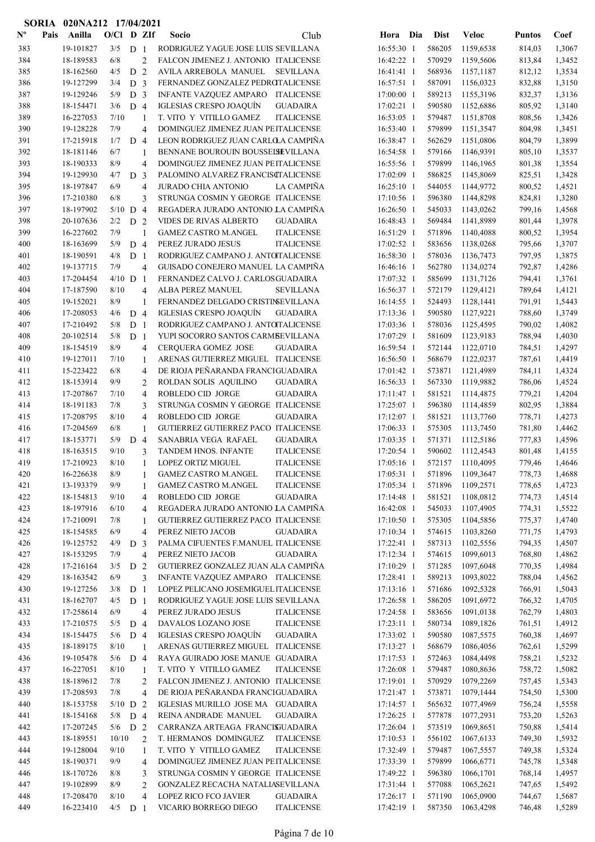|                           |      | SORIA 020NA212 17/04/2021 |              |                |                     |                                                            |                                        |                          |     |                  |                        |                  |                  |
|---------------------------|------|---------------------------|--------------|----------------|---------------------|------------------------------------------------------------|----------------------------------------|--------------------------|-----|------------------|------------------------|------------------|------------------|
| $\mathbf{N}^{\mathbf{o}}$ | Pais | Anilla                    | $O/Cl$ D ZIf |                |                     | Socio                                                      | Club                                   | Hora                     | Dia | <b>Dist</b>      | <b>Veloc</b>           | <b>Puntos</b>    | Coef             |
| 383                       |      | 19-101827                 | 3/5          | D <sub>1</sub> |                     | RODRIGUEZ YAGUE JOSE LUIS SEVILLANA                        |                                        | 16:55:30 1               |     | 586205           | 1159,6538              | 814,03           | 1,3067           |
| 384                       |      | 18-189583                 | 6/8          |                | $\overline{2}$      | FALCON JIMENEZ J. ANTONIO ITALICENSE                       |                                        | 16:42:22 1               |     | 570929           | 1159,5606              | 813,84           | 1,3452           |
| 385                       |      | 18-162560                 | 4/5          | D <sub>2</sub> |                     | AVILA ARREBOLA MANUEL                                      | <b>SEVILLANA</b>                       | 16:41:41 1               |     | 568936           | 1157,1187              | 812,12           | 1,3534           |
| 386                       |      | 19-127299                 | 3/4          | D <sub>3</sub> |                     | FERNANDEZ GONZALEZ PEDROTALICENSE                          |                                        | 16:57:51 1               |     | 587091           | 1156,0323              | 832,88           | 1,3150           |
| 387                       |      | 19-129246                 | 5/9          | D <sub>3</sub> |                     | INFANTE VAZQUEZ AMPARO ITALICENSE                          |                                        | 17:00:00 1               |     | 589213           | 1155,3196              | 832,37           | 1,3136           |
| 388                       |      | 18-154471                 | 3/6          | D <sub>4</sub> |                     | <b>IGLESIAS CRESPO JOAQUÍN</b>                             | <b>GUADAIRA</b>                        | 17:02:21 1               |     | 590580           | 1152,6886              | 805,92           | 1,3140           |
| 389                       |      | 16-227053                 | 7/10         |                | 1                   | T. VITO Y VITILLO GAMEZ                                    | <b>ITALICENSE</b>                      | $16:53:05$ 1             |     | 579487           | 1151,8708              | 808,56           | 1,3426           |
| 390                       |      | 19-128228                 | 7/9          |                | 4                   | DOMINGUEZ JIMENEZ JUAN PEITALICENSE                        |                                        | 16:53:40 1               |     | 579899           | 1151,3547              | 804,98           | 1,3451           |
| 391                       |      | 17-215918                 | 1/7          | D <sub>4</sub> |                     | LEON RODRIGUEZ JUAN CARLOLA CAMPIÑA                        |                                        | 16:38:47 1               |     | 562629           | 1151,0806              | 804,79           | 1,3899           |
| 392                       |      | 18-181146                 | 6/7          |                | 1                   | BENNANE BOUROUIN BOUSSELSEVILLANA                          |                                        | 16:54:58 1               |     | 579166           | 1146,9391              | 805,10           | 1,3537           |
| 393                       |      | 18-190333                 | 8/9          |                | 4                   | DOMINGUEZ JIMENEZ JUAN PEITALICENSE                        |                                        | 16:55:56 1               |     | 579899           | 1146,1965              | 801,38           | 1,3554           |
| 394                       |      | 19-129930                 | 4/7          | D <sub>3</sub> |                     | PALOMINO ALVAREZ FRANCISCTALICENSE                         |                                        | 17:02:09 1               |     | 586825           | 1145,8069              | 825,51           | 1,3428           |
| 395                       |      | 18-197847                 | 6/9          |                | $\overline{4}$      | <b>JURADO CHIA ANTONIO</b>                                 | <b>LA CAMPIÑA</b>                      | 16:25:10 1               |     | 544055           | 1144,9772              | 800,52           | 1,4521           |
| 396                       |      | 17-210380                 | 6/8          |                | 3                   | STRUNGA COSMIN Y GEORGE ITALICENSE                         |                                        | 17:10:56 1               |     | 596380           | 1144,8298              | 824,81           | 1,3280           |
| 397                       |      | 18-197902                 | $5/10$ D     |                | $\overline{4}$      | REGADERA JURADO ANTONIO LA CAMPINA                         |                                        | 16:26:50 1               |     | 545033           | 1143,0262              | 799,16           | 1,4568           |
| 398                       |      | 20-107636                 | 2/2          | D <sub>2</sub> |                     | <b>VIDES DE RIVAS ALBERTO</b>                              | <b>GUADAIRA</b>                        | 16:48:43 1               |     | 569484           | 1141,8989              | 801,44           | 1,3978           |
| 399                       |      | 16-227602                 | 7/9          |                | 1                   | <b>GAMEZ CASTRO M.ANGEL</b>                                | <b>ITALICENSE</b>                      | 16:51:29 1               |     | 571896           | 1140,4088              | 800,52           | 1,3954           |
| 400                       |      | 18-163699                 | 5/9          | D <sub>4</sub> |                     | PEREZ JURADO JESUS                                         | <b>ITALICENSE</b>                      | 17:02:52 1               |     | 583656           | 1138,0268              | 795,66           | 1,3707           |
| 401                       |      | 18-190591                 | 4/8          | D <sub>1</sub> |                     | RODRIGUEZ CAMPANO J. ANTOITALICENSE                        |                                        | 16:58:30 1               |     | 578036           | 1136,7473              | 797,95           | 1,3875           |
| 402                       |      | 19-137715                 | 7/9          |                | 4                   | GUISADO CONEJERO MANUEL LA CAMPIÑA                         |                                        | 16:46:16 1               |     | 562780           | 1134,0274              | 792,87           | 1,4286           |
| 403                       |      | 17-204454                 | $4/10$ D     |                | $\overline{1}$      | FERNANDEZ CALVO J. CARLOSGUADAIRA                          |                                        | 17:07:32 1               |     | 585699           | 1131,7126              | 794,41           | 1,3761           |
| 404                       |      | 17-187590                 | 8/10         |                | 4                   | ALBA PEREZ MANUEL                                          | SEVILLANA                              | 16:56:37 1               |     | 572179           | 1129,4121              | 789,64           | 1,4121           |
| 405                       |      | 19-152021                 | 8/9          |                | 1                   | FERNANDEZ DELGADO CRISTINSEVILLANA                         |                                        | 16:14:55 1               |     | 524493           | 1128,1441              | 791,91           | 1,5443           |
| 406                       |      | 17-208053                 | 4/6          | D 4            |                     | IGLESIAS CRESPO JOAQUÍN                                    | <b>GUADAIRA</b>                        | 17:13:36 1               |     | 590580           | 1127,9221              | 788,60           | 1,3749           |
| 407                       |      | 17-210492                 | 5/8          | D <sub>1</sub> |                     | RODRIGUEZ CAMPANO J. ANTOITALICENSE                        |                                        | 17:03:36 1               |     | 578036           | 1125,4595              | 790,02           | 1,4082           |
| 408                       |      | 20-102514                 | 5/8          | D <sub>1</sub> |                     | YUPI SOCORRO SANTOS CARMBEVILLANA                          |                                        | 17:07:29 1               |     | 581609           | 1123,9183              | 788,94           | 1,4030           |
| 409                       |      | 18-154519                 | 8/9          |                | 4                   | CERQUERA GOMEZ JOSE                                        | <b>GUADAIRA</b>                        | 16:59:54 1               |     | 572144           | 1122,0710              | 784,51           | 1,4297           |
| 410                       |      | 19-127011                 | 7/10         |                | 1                   | ARENAS GUTIERREZ MIGUEL ITALICENSE                         |                                        | 16:56:50 1               |     | 568679           | 1122,0237              | 787,61           | 1,4419           |
| 411                       |      | 15-223422                 | 6/8          |                | $\overline{4}$      | DE RIOJA PEÑARANDA FRANCIGUADAIRA                          |                                        | 17:01:42 1               |     | 573871           | 1121,4989              | 784,11           | 1,4324           |
| 412                       |      | 18-153914                 | 9/9          |                | $\overline{c}$      | ROLDAN SOLIS AQUILINO                                      | <b>GUADAIRA</b>                        | 16:56:33 1               |     | 567330           | 1119,9882              | 786,06           | 1,4524           |
| 413                       |      | 17-207867                 | 7/10         |                | $\overline{4}$      | ROBLEDO CID JORGE                                          | <b>GUADAIRA</b>                        | 17:11:47 1               |     | 581521           | 1114,4875              | 779,21           | 1,4204           |
| 414                       |      | 18-191183                 | 7/8          |                | 3                   | STRUNGA COSMIN Y GEORGE ITALICENSE                         |                                        | 17:25:07 1               |     | 596380           | 1114,4859              | 802,95           | 1,3884           |
| 415                       |      | 17-208795                 | 8/10         |                | 4                   | ROBLEDO CID JORGE                                          | <b>GUADAIRA</b>                        | 17:12:07 1               |     | 581521           | 1113,7760              | 778,71           | 1,4273           |
| 416                       |      | 17-204569                 | 6/8          |                | 1                   | GUTIERREZ GUTIERREZ PACO ITALICENSE                        |                                        | 17:06:33 1               |     | 575305           | 1113,7450              | 781,80           | 1,4462           |
| 417                       |      | 18-153771                 | 5/9          | D              | $\overline{4}$      | SANABRIA VEGA RAFAEL                                       | <b>GUADAIRA</b>                        | 17:03:35 1               |     | 571371           | 1112,5186              | 777,83           | 1,4596           |
| 418                       |      | 18-163515<br>17-210923    | 9/10<br>8/10 |                | 3                   | TANDEM HNOS. INFANTE                                       | <b>ITALICENSE</b>                      | 17:20:54 1               |     | 590602           | 1112,4543              | 801,48<br>779,46 | 1,4155           |
| 419<br>420                |      |                           | 8/9          |                |                     | LOPEZ ORTIZ MIGUEL                                         | <b>ITALICENSE</b>                      | 17:05:16 1<br>17:05:31 1 |     | 572157<br>571896 | 1110,4095<br>1109,3647 |                  | 1,4646           |
| 421                       |      | 16-226638<br>13-193379    | 9/9          |                | 1                   | <b>GAMEZ CASTRO M.ANGEL</b><br><b>GAMEZ CASTRO M.ANGEL</b> | <b>ITALICENSE</b><br><b>ITALICENSE</b> | 17:05:34 1               |     | 571896           |                        | 778,73           | 1,4688           |
| 422                       |      | 18-154813                 | 9/10         |                | 1<br>$\overline{4}$ | ROBLEDO CID JORGE                                          | <b>GUADAIRA</b>                        | 17:14:48 1               |     | 581521           | 1109,2571<br>1108,0812 | 778,65<br>774,73 | 1,4723<br>1,4514 |
| 423                       |      | 18-197916                 | 6/10         |                | 4                   | REGADERA JURADO ANTONIO LA CAMPIÑA                         |                                        | 16:42:08 1               |     | 545033           | 1107,4905              | 774,31           | 1,5522           |
| 424                       |      | 17-210091                 | 7/8          |                | 1                   | GUTIERREZ GUTIERREZ PACO ITALICENSE                        |                                        | 17:10:50 1               |     | 575305           | 1104,5856              | 775,37           | 1,4740           |
| 425                       |      | 18-154585                 | 6/9          |                | 4                   | PEREZ NIETO JACOB                                          | <b>GUADAIRA</b>                        | 17:10:34 1               |     | 574615           | 1103,8260              | 771,75           | 1,4793           |
| 426                       |      | 19-125752                 | 4/9          | D <sub>3</sub> |                     | PALMA CIFUENTES F.MANUEL ITALICENSE                        |                                        | 17:22:41 1               |     | 587313           | 1102,5556              | 794,35           | 1,4507           |
| 427                       |      | 18-153295                 | 7/9          |                | 4                   | PEREZ NIETO JACOB                                          | <b>GUADAIRA</b>                        | 17:12:34 1               |     | 574615           | 1099,6013              | 768,80           | 1,4862           |
| 428                       |      | 17-216164                 | 3/5          | D <sub>2</sub> |                     | GUTIERREZ GONZALEZ JUAN ALA CAMPIÑA                        |                                        | 17:10:29 1               |     | 571285           | 1097,6048              | 770,35           | 1,4984           |
| 429                       |      | 18-163542                 | 6/9          |                | 3                   | INFANTE VAZQUEZ AMPARO ITALICENSE                          |                                        | 17:28:41 1               |     | 589213           | 1093,8022              | 788,04           | 1,4562           |
| 430                       |      | 19-127256                 | 3/8          | D <sub>1</sub> |                     | LOPEZ PELICANO JOSEMIGUEL ITALICENSE                       |                                        | 17:13:16 1               |     | 571686           | 1092,5328              | 766,91           | 1,5043           |
| 431                       |      | 18-162707                 | 4/5          | D <sub>1</sub> |                     | RODRIGUEZ YAGUE JOSE LUIS SEVILLANA                        |                                        | 17:26:58 1               |     | 586205           | 1091,6972              | 766,32           | 1,4705           |
| 432                       |      | 17-258614                 | 6/9          |                | 4                   | PEREZ JURADO JESUS                                         | <b>ITALICENSE</b>                      | 17:24:58 1               |     | 583656           | 1091,0138              | 762,79           | 1,4803           |
| 433                       |      | 17-210575                 | 5/5          | D <sub>4</sub> |                     | DAVALOS LOZANO JOSE                                        | <b>ITALICENSE</b>                      | 17:23:11 1               |     | 580734           | 1089,1826              | 761,51           | 1,4912           |
| 434                       |      | 18-154475                 | 5/6          | D <sub>4</sub> |                     | <b>IGLESIAS CRESPO JOAQUÍN</b>                             | <b>GUADAIRA</b>                        | 17:33:02 1               |     | 590580           | 1087,5575              | 760,38           | 1,4697           |
| 435                       |      | 18-189175                 | 8/10         |                | 1                   | ARENAS GUTIERREZ MIGUEL ITALICENSE                         |                                        | 17:13:27 1               |     | 568679           | 1086,4056              | 762,61           | 1,5299           |
| 436                       |      | 19-105478                 | 5/6          | D <sub>4</sub> |                     | RAYA GUIRADO JOSE MANUE GUADAIRA                           |                                        | 17:17:53 1               |     | 572463           | 1084,4498              | 758,21           | 1,5232           |
| 437                       |      | 16-227051                 | 8/10         |                | $\mathbf{1}$        | T. VITO Y VITILLO GAMEZ                                    | <b>ITALICENSE</b>                      | 17:26:08 1               |     | 579487           | 1080,8636              | 758,72           | 1,5082           |
| 438                       |      | 18-189612                 | 7/8          |                | 2                   | FALCON JIMENEZ J. ANTONIO ITALICENSE                       |                                        | 17:19:01 1               |     | 570929           | 1079,2269              | 757,45           | 1,5343           |
| 439                       |      | 17-208593                 | 7/8          |                | 4                   | DE RIOJA PEÑARANDA FRANCIGUADAIRA                          |                                        | 17:21:47 1               |     | 573871           | 1079,1444              | 754,50           | 1,5300           |
| 440                       |      | 18-153758                 | $5/10$ D 2   |                |                     | IGLESIAS MURILLO JOSE MA GUADAIRA                          |                                        | 17:14:57 1               |     | 565632           | 1077,4969              | 756,24           | 1,5558           |
| 441                       |      | 18-154168                 | 5/8          | D <sub>4</sub> |                     | REINA ANDRADE MANUEL                                       | <b>GUADAIRA</b>                        | 17:26:25 1               |     | 577878           | 1077,2931              | 753,20           | 1,5263           |
| 442                       |      | 17-207245                 | $5/6$ D 2    |                |                     | CARRANZA ARTEAGA FRANCISJUADAIRA                           |                                        | 17:26:04 1               |     | 573519           | 1069,8651              | 750,88           | 1,5414           |
| 443                       |      | 18-189551                 | 10/10        |                | 2                   | T. HERMANOS DOMINGUEZ                                      | <b>ITALICENSE</b>                      | 17:10:53 1               |     | 556102           | 1067,6133              | 749,30           | 1,5932           |
| 444                       |      | 19-128004                 | 9/10         |                | $\mathbf{1}$        | T. VITO Y VITILLO GAMEZ                                    | <b>ITALICENSE</b>                      | 17:32:49 1               |     | 579487           | 1067,5557              | 749,38           | 1,5324           |
| 445                       |      | 18-190371                 | 9/9          |                | 4                   | DOMINGUEZ JIMENEZ JUAN PEITALICENSE                        |                                        | 17:33:39 1               |     | 579899           | 1066,6771              | 745,78           | 1,5348           |
| 446                       |      | 18-170726                 | 8/8          |                | 3                   | STRUNGA COSMIN Y GEORGE ITALICENSE                         |                                        | 17:49:22 1               |     | 596380           | 1066,1701              | 768,14           | 1,4957           |
| 447                       |      | 19-102899                 | 8/9          |                | $\overline{c}$      | GONZALEZ RECACHA NATALIASEVILLANA                          |                                        | 17:31:44 1               |     | 577088           | 1065,2621              | 747,65           | 1,5492           |
| 448                       |      | 17-208470                 | 8/10         |                | 4                   | LOPEZ RICO FCO JAVIER                                      | <b>GUADAIRA</b>                        | 17:26:17 1               |     | 571190           | 1065,0900              | 744,67           | 1,5687           |
| 449                       |      | 16-223410                 | $4/5$ D 1    |                |                     | VICARIO BORREGO DIEGO                                      | <b>ITALICENSE</b>                      | 17:42:19 1               |     | 587350           | 1063,4298              | 746,48           | 1,5289           |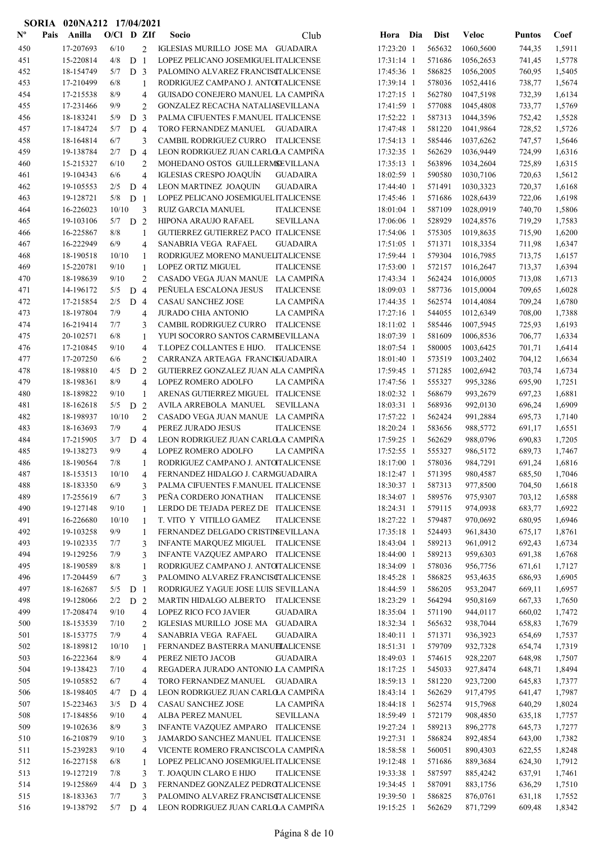|                           |      | SORIA 020NA212 17/04/2021 |              |                |                     |                                                                                        |                          |     |                  |                        |                  |                  |
|---------------------------|------|---------------------------|--------------|----------------|---------------------|----------------------------------------------------------------------------------------|--------------------------|-----|------------------|------------------------|------------------|------------------|
| $\mathbf{N}^{\mathbf{o}}$ | Pais | Anilla                    | $O/CI$ D ZIf |                |                     | Socio<br>Club                                                                          | Hora                     | Dia | <b>Dist</b>      | <b>Veloc</b>           | <b>Puntos</b>    | Coef             |
| 450                       |      | 17-207693                 | 6/10         |                | $\overline{c}$      | IGLESIAS MURILLO JOSE MA GUADAIRA                                                      | 17:23:20 1               |     | 565632           | 1060,5600              | 744,35           | 1,5911           |
| 451                       |      | 15-220814                 | 4/8          | D <sub>1</sub> |                     | LOPEZ PELICANO JOSEMIGUEL ITALICENSE                                                   | 17:31:14 1               |     | 571686           | 1056,2653              | 741,45           | 1,5778           |
| 452                       |      | 18-154749                 | 5/7          | D <sub>3</sub> |                     | PALOMINO ALVAREZ FRANCISCTALICENSE                                                     | 17:45:36 1               |     | 586825           | 1056,2005              | 760,95           | 1,5405           |
| 453                       |      | 17-210499                 | 6/8          |                | 1                   | RODRIGUEZ CAMPANO J. ANTOITALICENSE                                                    | 17:39:14 1               |     | 578036           | 1052,4416              | 738,77           | 1,5674           |
| 454                       |      | 17-215538                 | 8/9          |                | 4                   | GUISADO CONEJERO MANUEL LA CAMPIÑA                                                     | 17:27:15 1               |     | 562780           | 1047,5198              | 732,39           | 1,6134           |
| 455                       |      | 17-231466                 | 9/9          |                | $\overline{2}$      | GONZALEZ RECACHA NATALIASEVILLANA                                                      | 17:41:59 1               |     | 577088           | 1045,4808              | 733,77           | 1,5769           |
| 456                       |      | 18-183241                 | 5/9          | D              | $\overline{3}$      | PALMA CIFUENTES F.MANUEL ITALICENSE                                                    | 17:52:22 1               |     | 587313           | 1044,3596              | 752,42           | 1,5528           |
| 457                       |      | 17-184724                 | 5/7          | D <sub>4</sub> |                     | TORO FERNANDEZ MANUEL<br><b>GUADAIRA</b>                                               | 17:47:48 1               |     | 581220           | 1041,9864              | 728,52           | 1,5726           |
| 458                       |      | 18-164814                 | 6/7          |                | 3                   | CAMBIL RODRIGUEZ CURRO<br><b>ITALICENSE</b>                                            | 17:54:13 1               |     | 585446           | 1037,6262              | 747,57           | 1,5646           |
| 459                       |      | 19-138784                 | 2/7          | D 4            |                     | LEON RODRIGUEZ JUAN CARLO A CAMPIÑA                                                    | 17:32:35 1               |     | 562629           | 1036,9449              | 724,99           | 1,6316           |
| 460                       |      | 15-215327                 | 6/10         |                | $\overline{c}$      | MOHEDANO OSTOS GUILLERMSEVILLANA                                                       | 17:35:13 1               |     | 563896           | 1034,2604              | 725,89           | 1,6315           |
| 461                       |      | 19-104343                 | 6/6          |                | $\overline{4}$      | IGLESIAS CRESPO JOAQUÍN<br><b>GUADAIRA</b>                                             | 18:02:59 1               |     | 590580           | 1030,7106              | 720,63           | 1,5612           |
| 462                       |      | 19-105553<br>19-128721    | 2/5<br>5/8   | D <sub>4</sub> |                     | LEON MARTINEZ JOAQUIN<br><b>GUADAIRA</b>                                               | 17:44:40 1               |     | 571491           | 1030,3323              | 720,37           | 1,6168<br>1,6198 |
| 463<br>464                |      | 16-226023                 | 10/10        | D <sub>1</sub> | 3                   | LOPEZ PELICANO JOSEMIGUEL ITALICENSE<br><b>RUIZ GARCIA MANUEL</b><br><b>ITALICENSE</b> | 17:45:46 1<br>18:01:04 1 |     | 571686<br>587109 | 1028,6439<br>1028,0919 | 722,06<br>740,70 | 1,5806           |
| 465                       |      | 19-103106                 | 5/7          | D <sub>2</sub> |                     | <b>SEVILLANA</b><br>HIPONA ARAUJO RAFAEL                                               | 17:06:06 1               |     | 528929           | 1024,8576              | 719,29           | 1,7583           |
| 466                       |      | 16-225867                 | 8/8          |                | 1                   | GUTIERREZ GUTIERREZ PACO ITALICENSE                                                    | 17:54:06 1               |     | 575305           | 1019,8635              | 715,90           | 1,6200           |
| 467                       |      | 16-222949                 | 6/9          |                | 4                   | SANABRIA VEGA RAFAEL<br><b>GUADAIRA</b>                                                | 17:51:05 1               |     | 571371           | 1018,3354              | 711,98           | 1,6347           |
| 468                       |      | 18-190518                 | 10/10        |                | $\mathbf{1}$        | RODRIGUEZ MORENO MANUELITALICENSE                                                      | 17:59:44 1               |     | 579304           | 1016,7985              | 713,75           | 1,6157           |
| 469                       |      | 15-220781                 | 9/10         |                | 1                   | <b>LOPEZ ORTIZ MIGUEL</b><br><b>ITALICENSE</b>                                         | 17:53:00 1               |     | 572157           | 1016,2647              | 713,37           | 1,6394           |
| 470                       |      | 18-198639                 | 9/10         |                | $\overline{c}$      | CASADO VEGA JUAN MANUE LA CAMPIÑA                                                      | 17:43:34 1               |     | 562424           | 1016,0005              | 713,08           | 1,6713           |
| 471                       |      | 14-196172                 | 5/5          | D <sub>4</sub> |                     | PEÑUELA ESCALONA JESUS<br><b>ITALICENSE</b>                                            | 18:09:03 1               |     | 587736           | 1015,0004              | 709,65           | 1,6028           |
| 472                       |      | 17-215854                 | 2/5          | $D_4$          |                     | CASAU SANCHEZ JOSE<br>LA CAMPIÑA                                                       | 17:44:35 1               |     | 562574           | 1014,4084              | 709,24           | 1,6780           |
| 473                       |      | 18-197804                 | 7/9          |                | 4                   | LA CAMPIÑA<br><b>JURADO CHIA ANTONIO</b>                                               | 17:27:16 1               |     | 544055           | 1012,6349              | 708,00           | 1,7388           |
| 474                       |      | 16-219414                 | 7/7          |                | 3                   | CAMBIL RODRIGUEZ CURRO<br><b>ITALICENSE</b>                                            | 18:11:02 1               |     | 585446           | 1007,5945              | 725,93           | 1,6193           |
| 475                       |      | 20-102571                 | 6/8          |                | 1                   | YUPI SOCORRO SANTOS CARMBEVILLANA                                                      | 18:07:39 1               |     | 581609           | 1006,8536              | 706,77           | 1,6334           |
| 476                       |      | 17-210845                 | 9/10         |                | 4                   | T.LOPEZ COLLANTES E HIJO. ITALICENSE                                                   | 18:07:54 1               |     | 580005           | 1003,6425              | 701,71           | 1,6414           |
| 477                       |      | 17-207250                 | 6/6          |                | 2                   | CARRANZA ARTEAGA FRANCISJUADAIRA                                                       | 18:01:40 1               |     | 573519           | 1003,2402              | 704,12           | 1,6634           |
| 478                       |      | 18-198810                 | 4/5          | D              | 2                   | GUTIERREZ GONZALEZ JUAN ALA CAMPIÑA                                                    | 17:59:45 1               |     | 571285           | 1002,6942              | 703,74           | 1,6734           |
| 479                       |      | 18-198361                 | 8/9          |                | $\overline{4}$      | LA CAMPIÑA<br>LOPEZ ROMERO ADOLFO                                                      | 17:47:56 1               |     | 555327           | 995,3286               | 695,90           | 1,7251           |
| 480                       |      | 18-189822                 | 9/10         |                | $\mathbf{1}$        | ARENAS GUTIERREZ MIGUEL ITALICENSE                                                     | 18:02:32 1               |     | 568679           | 993,2679               | 697,23           | 1,6881           |
| 481                       |      | 18-162618                 | 5/5          | D              | 2                   | <b>SEVILLANA</b><br>AVILA ARREBOLA MANUEL                                              | 18:03:31 1               |     | 568936           | 992,0130               | 696,24           | 1,6909           |
| 482                       |      | 18-198937                 | 10/10        |                | $\overline{2}$      | LA CAMPIÑA<br>CASADO VEGA JUAN MANUE                                                   | 17:57:22 1               |     | 562424           | 991,2884               | 695,73           | 1,7140           |
| 483                       |      | 18-163693                 | 7/9          |                | 4                   | PEREZ JURADO JESUS<br><b>ITALICENSE</b>                                                | 18:20:24 1               |     | 583656           | 988,5772               | 691,17           | 1,6551           |
| 484<br>485                |      | 17-215905<br>19-138273    | 3/7<br>9/9   | D <sub>4</sub> | 4                   | LEON RODRIGUEZ JUAN CARLOA CAMPIÑA<br>LOPEZ ROMERO ADOLFO<br>LA CAMPIÑA                | 17:59:25 1<br>17:52:55 1 |     | 562629<br>555327 | 988,0796<br>986,5172   | 690,83<br>689,73 | 1,7205<br>1,7467 |
| 486                       |      | 18-190564                 | 7/8          |                |                     | RODRIGUEZ CAMPANO J. ANTOTALICENSE                                                     | 18:17:00 1               |     | 578036           | 984,7291               | 691,24           | 1,6816           |
| 487                       |      | 18-153513                 | 10/10        |                | 1<br>4              | FERNANDEZ HIDALGO J. CARMGUADAIRA                                                      | 18:12:47 1               |     | 571395           | 980,4587               | 685,50           | 1,7046           |
| 488                       |      | 18-183350                 | 6/9          |                | 3                   | PALMA CIFUENTES F.MANUEL ITALICENSE                                                    | 18:30:37 1               |     | 587313           | 977,8500               | 704,50           | 1,6618           |
| 489                       |      | 17-255619                 | 6/7          |                | 3                   | PEÑA CORDERO JONATHAN<br><b>ITALICENSE</b>                                             | 18:34:07 1               |     | 589576           | 975,9307               | 703,12           | 1,6588           |
| 490                       |      | 19-127148                 | 9/10         |                | $\mathbf{1}$        | LERDO DE TEJADA PEREZ DE ITALICENSE                                                    | 18:24:31 1               |     | 579115           | 974,0938               | 683,77           | 1,6922           |
| 491                       |      | 16-226680                 | 10/10        |                | $\mathbf{1}$        | T. VITO Y VITILLO GAMEZ<br><b>ITALICENSE</b>                                           | 18:27:22 1               |     | 579487           | 970,0692               | 680,95           | 1,6946           |
| 492                       |      | 19-103258                 | 9/9          |                | 1                   | FERNANDEZ DELGADO CRISTINEVILLANA                                                      | 17:35:18 1               |     | 524493           | 961,8430               | 675,17           | 1,8761           |
| 493                       |      | 19-102335                 | 7/7          |                | 3                   | INFANTE MARQUEZ MIGUEL ITALICENSE                                                      | 18:43:04 1               |     | 589213           | 961,0912               | 692,43           | 1,6734           |
| 494                       |      | 19-129256                 | 7/9          |                | 3                   | INFANTE VAZQUEZ AMPARO ITALICENSE                                                      | 18:44:00 1               |     | 589213           | 959,6303               | 691,38           | 1,6768           |
| 495                       |      | 18-190589                 | 8/8          |                | 1                   | RODRIGUEZ CAMPANO J. ANTOTALICENSE                                                     | 18:34:09 1               |     | 578036           | 956,7756               | 671,61           | 1,7127           |
| 496                       |      | 17-204459                 | 6/7          |                | 3                   | PALOMINO ALVAREZ FRANCISCTALICENSE                                                     | 18:45:28 1               |     | 586825           | 953,4635               | 686,93           | 1,6905           |
| 497                       |      | 18-162687                 | 5/5          | D <sub>1</sub> |                     | RODRIGUEZ YAGUE JOSE LUIS SEVILLANA                                                    | 18:44:59 1               |     | 586205           | 953,2047               | 669,11           | 1,6957           |
| 498                       |      | 19-128066                 | 2/2          | D 2            |                     | MARTIN HIDALGO ALBERTO<br><b>ITALICENSE</b>                                            | 18:23:29 1               |     | 564294           | 950,8169               | 667,33           | 1,7650           |
| 499                       |      | 17-208474                 | 9/10         |                | 4                   | LOPEZ RICO FCO JAVIER<br><b>GUADAIRA</b>                                               | 18:35:04 1               |     | 571190           | 944,0117               | 660,02           | 1,7472           |
| 500                       |      | 18-153539                 | 7/10         |                | 2                   | IGLESIAS MURILLO JOSE MA GUADAIRA                                                      | 18:32:34 1               |     | 565632           | 938,7044               | 658,83           | 1,7679           |
| 501                       |      | 18-153775                 | 7/9          |                | 4                   | SANABRIA VEGA RAFAEL<br><b>GUADAIRA</b>                                                | 18:40:11 1               |     | 571371           | 936,3923               | 654,69           | 1,7537           |
| 502                       |      | 18-189812                 | 10/10        |                | 1                   | FERNANDEZ BASTERRA MANUELALICENSE                                                      | 18:51:31 1               |     | 579709           | 932,7328               | 654,74           | 1,7319           |
| 503<br>504                |      | 16-222364<br>19-138423    | 8/9<br>7/10  |                | $\overline{4}$      | PEREZ NIETO JACOB<br><b>GUADAIRA</b><br>REGADERA JURADO ANTONIO LA CAMPIÑA             | 18:49:03 1<br>18:17:25 1 |     | 574615<br>545033 | 928,2207<br>927,8474   | 648,98<br>648,71 | 1,7507<br>1,8494 |
| 505                       |      | 19-105852                 | 6/7          |                | 4<br>$\overline{4}$ | TORO FERNANDEZ MANUEL<br><b>GUADAIRA</b>                                               | 18:59:13 1               |     | 581220           | 923,7200               | 645,83           | 1,7377           |
| 506                       |      | 18-198405                 | 4/7          | D 4            |                     | LEON RODRIGUEZ JUAN CARLOLA CAMPIÑA                                                    | 18:43:14 1               |     | 562629           | 917,4795               | 641,47           | 1,7987           |
| 507                       |      | 15-223463                 | 3/5          | D 4            |                     | LA CAMPIÑA<br>CASAU SANCHEZ JOSE                                                       | 18:44:18 1               |     | 562574           | 915,7968               | 640,29           | 1,8024           |
| 508                       |      | 17-184856                 | 9/10         |                | 4                   | ALBA PEREZ MANUEL<br><b>SEVILLANA</b>                                                  | 18:59:49 1               |     | 572179           | 908,4850               | 635,18           | 1,7757           |
| 509                       |      | 19-102636                 | 8/9          |                | 3                   | INFANTE VAZQUEZ AMPARO ITALICENSE                                                      | 19:27:24 1               |     | 589213           | 896,2778               | 645,73           | 1,7277           |
| 510                       |      | 16-210879                 | 9/10         |                | 3                   | JAMARDO SANCHEZ MANUEL ITALICENSE                                                      | 19:27:31 1               |     | 586824           | 892,4854               | 643,00           | 1,7382           |
| 511                       |      | 15-239283                 | 9/10         |                | 4                   | VICENTE ROMERO FRANCISCOLA CAMPIÑA                                                     | 18:58:58 1               |     | 560051           | 890,4303               | 622,55           | 1,8248           |
| 512                       |      | 16-227158                 | 6/8          |                | 1                   | LOPEZ PELICANO JOSEMIGUEL ITALICENSE                                                   | 19:12:48 1               |     | 571686           | 889,3684               | 624,30           | 1,7912           |
| 513                       |      | 19-127219                 | 7/8          |                | 3                   | T. JOAQUIN CLARO E HIJO<br><b>ITALICENSE</b>                                           | 19:33:38 1               |     | 587597           | 885,4242               | 637,91           | 1,7461           |
| 514                       |      | 19-125869                 | 4/4          | D <sub>3</sub> |                     | FERNANDEZ GONZALEZ PEDROTALICENSE                                                      | 19:34:45 1               |     | 587091           | 883,1756               | 636,29           | 1,7510           |
| 515                       |      | 18-183363                 | 7/7          |                | 3                   | PALOMINO ALVAREZ FRANCISCTALICENSE                                                     | 19:39:50 1               |     | 586825           | 876,0761               | 631,18           | 1,7552           |
| 516                       |      | 19-138792                 | 5/7          | D <sub>4</sub> |                     | LEON RODRIGUEZ JUAN CARLOLA CAMPIÑA                                                    | 19:15:25 1               |     | 562629           | 871,7299               | 609,48           | 1,8342           |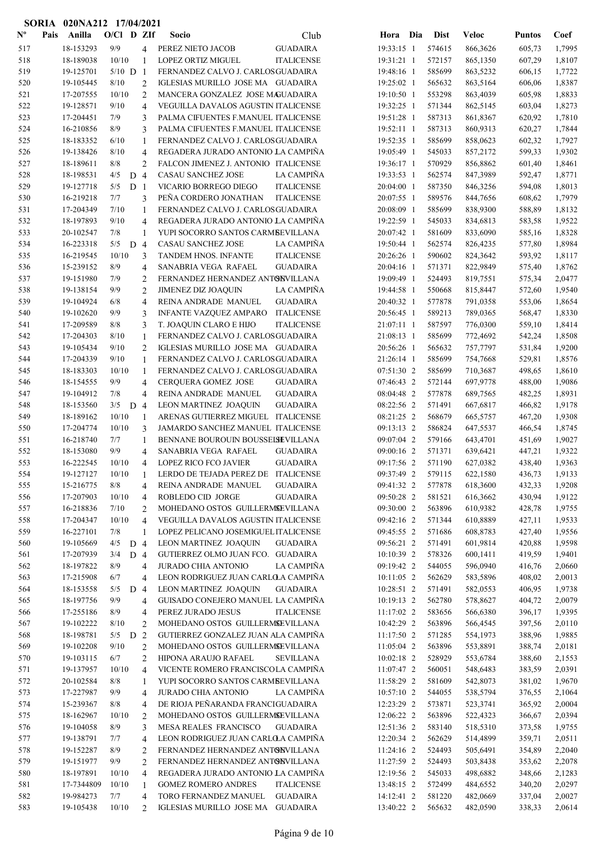| $\mathbf{N}^{\mathbf{o}}$ | Pais | Anilla     | $O/CI$ D ZIf |                |                | Socio                                | Club              | Hora Dia     | <b>Dist</b> | <b>Veloc</b> | <b>Puntos</b> | Coef   |
|---------------------------|------|------------|--------------|----------------|----------------|--------------------------------------|-------------------|--------------|-------------|--------------|---------------|--------|
| 517                       |      | 18-153293  | 9/9          |                | 4              | PEREZ NIETO JACOB                    | <b>GUADAIRA</b>   | 19:33:15 1   | 574615      | 866,3626     | 605,73        | 1,7995 |
| 518                       |      | 18-189038  | 10/10        |                | 1              | LOPEZ ORTIZ MIGUEL                   | <b>ITALICENSE</b> | 19:31:21 1   | 572157      | 865,1350     | 607,29        | 1,8107 |
| 519                       |      | 19-125701  | $5/10$ D     |                | 1              | FERNANDEZ CALVO J. CARLOSGUADAIRA    |                   | 19:48:16 1   | 585699      | 863,5232     | 606,15        | 1,7722 |
| 520                       |      | 19-105445  | 8/10         |                | $\overline{2}$ | IGLESIAS MURILLO JOSE MA GUADAIRA    |                   | 19:25:02 1   | 565632      | 863,5164     | 606,06        | 1,8387 |
| 521                       |      | 17-207555  | 10/10        |                | $\overline{2}$ | MANCERA GONZALEZ JOSE MAGUADAIRA     |                   | 19:10:50 1   | 553298      | 863,4039     | 605,98        | 1,8833 |
| 522                       |      | 19-128571  | 9/10         |                | $\overline{4}$ | VEGUILLA DAVALOS AGUSTIN ITALICENSE  |                   | 19:32:25 1   | 571344      | 862,5145     | 603,04        | 1,8273 |
| 523                       |      | 17-204451  | 7/9          |                | 3              | PALMA CIFUENTES F.MANUEL ITALICENSE  |                   | 19:51:28 1   | 587313      | 861,8367     | 620,92        | 1,7810 |
| 524                       |      | 16-210856  | 8/9          |                | 3              | PALMA CIFUENTES F.MANUEL ITALICENSE  |                   | 19:52:11 1   | 587313      | 860,9313     | 620,27        | 1,7844 |
| 525                       |      | 18-183352  | 6/10         |                | 1              | FERNANDEZ CALVO J. CARLOSGUADAIRA    |                   | 19:52:35 1   | 585699      | 858,0623     | 602,32        | 1,7927 |
| 526                       |      | 19-138426  | 8/10         |                | $\overline{4}$ | REGADERA JURADO ANTONIO LA CAMPIÑA   |                   | 19:05:49 1   | 545033      | 857,2172     | 599,33        | 1,9302 |
| 527                       |      | 18-189611  | 8/8          |                | 2              | FALCON JIMENEZ J. ANTONIO ITALICENSE |                   | 19:36:17 1   | 570929      | 856,8862     | 601,40        | 1,8461 |
| 528                       |      | 18-198531  | 4/5          | D              | $\overline{4}$ | CASAU SANCHEZ JOSE                   | LA CAMPIÑA        | 19:33:53 1   | 562574      | 847,3989     | 592,47        | 1,8771 |
| 529                       |      | 19-127718  | 5/5          | D <sub>1</sub> |                | VICARIO BORREGO DIEGO                | <b>ITALICENSE</b> | 20:04:00 1   | 587350      | 846,3256     | 594,08        | 1,8013 |
| 530                       |      | 16-219218  | 7/7          |                | 3              | PEÑA CORDERO JONATHAN                | <b>ITALICENSE</b> | 20:07:55 1   | 589576      | 844,7656     | 608,62        | 1,7979 |
| 531                       |      | 17-204349  | 7/10         |                | $\mathbf{1}$   | FERNANDEZ CALVO J. CARLOSGUADAIRA    |                   | 20:08:09 1   | 585699      | 838,9300     | 588,89        | 1,8132 |
| 532                       |      | 18-197893  | 9/10         |                | $\overline{4}$ | REGADERA JURADO ANTONIO LA CAMPIÑA   |                   | 19:22:59 1   | 545033      | 834,6813     | 583,58        | 1,9522 |
| 533                       |      | 20-102547  | 7/8          |                | 1              | YUPI SOCORRO SANTOS CARMBEVILLANA    |                   | 20:07:42 1   | 581609      | 833,6090     | 585,16        | 1,8328 |
| 534                       |      | 16-223318  | 5/5          | D              | $\overline{4}$ | CASAU SANCHEZ JOSE                   | LA CAMPIÑA        | 19:50:44 1   | 562574      | 826,4235     | 577,80        | 1,8984 |
| 535                       |      | 16-219545  | 10/10        |                | 3              | TANDEM HNOS. INFANTE                 | <b>ITALICENSE</b> | 20:26:26 1   | 590602      | 824,3642     | 593,92        | 1,8117 |
| 536                       |      | 15-239152  | 8/9          |                | $\overline{4}$ | SANABRIA VEGA RAFAEL                 | <b>GUADAIRA</b>   | 20:04:16 1   | 571371      | 822,9849     | 575,40        | 1,8762 |
| 537                       |      | 19-151980  | 7/9          |                | 2              | FERNANDEZ HERNANDEZ ANTONVILLANA     |                   | 19:09:49 1   | 524493      | 819,7551     | 575,34        | 2,0477 |
| 538                       |      | 19-138154  | 9/9          |                | $\overline{2}$ | <b>JIMENEZ DIZ JOAQUIN</b>           | LA CAMPIÑA        | 19:44:58 1   | 550668      | 815,8447     | 572,60        | 1,9540 |
| 539                       |      | 19-104924  | 6/8          |                | $\overline{4}$ | REINA ANDRADE MANUEL                 | <b>GUADAIRA</b>   | 20:40:32 1   | 577878      | 791,0358     | 553,06        | 1,8654 |
| 540                       |      | 19-102620  | 9/9          |                | 3              | <b>INFANTE VAZQUEZ AMPARO</b>        | <b>ITALICENSE</b> | 20:56:45 1   | 589213      | 789,0365     | 568,47        | 1,8330 |
| 541                       |      | 17-209589  | 8/8          |                | 3              | T. JOAQUIN CLARO E HIJO              | <b>ITALICENSE</b> | 21:07:11 1   | 587597      | 776,0300     | 559,10        | 1,8414 |
| 542                       |      | 17-204303  | 8/10         |                | 1              | FERNANDEZ CALVO J. CARLOSGUADAIRA    |                   | 21:08:13 1   | 585699      | 772,4692     | 542,24        | 1,8508 |
| 543                       |      | 19-105434  | 9/10         |                | $\overline{2}$ | IGLESIAS MURILLO JOSE MA GUADAIRA    |                   | 20:56:26 1   | 565632      | 757,7797     | 531,84        | 1,9200 |
| 544                       |      | 17-204339  | 9/10         |                | 1              | FERNANDEZ CALVO J. CARLOSGUADAIRA    |                   | 21:26:14 1   | 585699      | 754,7668     | 529,81        | 1,8576 |
| 545                       |      | 18-183303  | 10/10        |                | 1              | FERNANDEZ CALVO J. CARLOSGUADAIRA    |                   | 07:51:30 2   | 585699      | 710,3687     | 498,65        | 1,8610 |
| 546                       |      | 18-154555  | 9/9          |                | $\overline{4}$ | CERQUERA GOMEZ JOSE                  | <b>GUADAIRA</b>   | 07:46:43 2   | 572144      | 697,9778     | 488,00        | 1,9086 |
| 547                       |      | 19-104912  | 7/8          |                | $\overline{4}$ | REINA ANDRADE MANUEL                 | <b>GUADAIRA</b>   | 08:04:48 2   | 577878      | 689,7565     | 482,25        | 1,8931 |
| 548                       |      | 18-153560  | 3/5          | D              | $\overline{4}$ | LEON MARTINEZ JOAQUIN                | <b>GUADAIRA</b>   | 08:22:56 2   | 571491      | 667,6817     | 466,82        | 1,9178 |
| 549                       |      | 18-189162  | 10/10        |                | $\mathbf{1}$   | ARENAS GUTIERREZ MIGUEL ITALICENSE   |                   | 08:21:25 2   | 568679      | 665,5757     | 467,20        | 1,9308 |
| 550                       |      | 17-204774  | 10/10        |                | 3              | JAMARDO SANCHEZ MANUEL ITALICENSE    |                   | 09:13:13 2   | 586824      | 647,5537     | 466,54        | 1,8745 |
| 551                       |      | 16-218740  | 7/7          |                | 1              | BENNANE BOUROUIN BOUSSELSEVILLANA    |                   | 09:07:04 2   | 579166      | 643,4701     | 451,69        | 1,9027 |
| 552                       |      | 18-153080  | 9/9          |                | $\overline{4}$ | SANABRIA VEGA RAFAEL                 | <b>GUADAIRA</b>   | 09:00:16 2   | 571371      | 639,6421     | 447,21        | 1,9322 |
| 553                       |      | 16-222545  | 10/10        |                | $\overline{4}$ | LOPEZ RICO FCO JAVIER                | <b>GUADAIRA</b>   | 09:17:56 2   | 571190      | 627,0382     | 438,40        | 1,9363 |
| 554                       |      | 19-127127  | 10/10        |                | 1              | LERDO DE TEJADA PEREZ DE ITALICENSE  |                   | 09:37:49 2   | 579115      | 622,1580     | 436,73        | 1,9133 |
| 555                       |      | 15-216775  | $8/8$        |                | 4              | REINA ANDRADE MANUEL                 | <b>GUADAIRA</b>   | 09:41:32 2   | 577878      | 618,3600     | 432,33        | 1,9208 |
| 556                       |      | 17-207903  | 10/10        |                | $\overline{4}$ | ROBLEDO CID JORGE                    | <b>GUADAIRA</b>   | 09:50:28 2   | 581521      | 616,3662     | 430,94        | 1,9122 |
| 557                       |      | 16-218836  | 7/10         |                | 2              | MOHEDANO OSTOS GUILLERMSEVILLANA     |                   | 09:30:00 2   | 563896      | 610,9382     | 428,78        | 1,9755 |
| 558                       |      | 17-204347  | 10/10        |                | $\overline{4}$ | VEGUILLA DAVALOS AGUSTIN ITALICENSE  |                   | 09:42:16 2   | 571344      | 610,8889     | 427,11        | 1,9533 |
| 559                       |      | 16-227101  | 7/8          |                | $\mathbf{1}$   | LOPEZ PELICANO JOSEMIGUEL ITALICENSE |                   | 09:45:55 2   | 571686      | 608,8783     | 427,40        | 1,9556 |
| 560                       |      | 19-105669  | 4/5          | D              | $\overline{4}$ | LEON MARTINEZ JOAQUIN                | <b>GUADAIRA</b>   | 09:56:21 2   | 571491      | 601,9814     | 420,88        | 1,9598 |
| 561                       |      | 17-207939  | 3/4          | D 4            |                | GUTIERREZ OLMO JUAN FCO. GUADAIRA    |                   | 10:10:39 2   | 578326      | 600,1411     | 419,59        | 1,9401 |
| 562                       |      | 18-197822  | 8/9          |                | $\overline{4}$ | <b>JURADO CHIA ANTONIO</b>           | LA CAMPIÑA        | 09:19:42 2   | 544055      | 596,0940     | 416,76        | 2,0660 |
| 563                       |      | 17-215908  | 6/7          |                | $\overline{4}$ | LEON RODRIGUEZ JUAN CARLO A CAMPIÑA  |                   | 10:11:05 2   | 562629      | 583,5896     | 408,02        | 2,0013 |
| 564                       |      | 18-153558  | 5/5          | D 4            |                | LEON MARTINEZ JOAQUIN                | <b>GUADAIRA</b>   | 10:28:51 2   | 571491      | 582,0553     | 406,95        | 1,9738 |
| 565                       |      | 18-197756  | 9/9          |                | $\overline{4}$ | GUISADO CONEJERO MANUEL LA CAMPIÑA   |                   | 10:19:13 2   | 562780      | 578,8627     | 404,72        | 2,0079 |
| 566                       |      | 17-255186  | 8/9          |                | $\overline{4}$ | PEREZ JURADO JESUS                   | <b>ITALICENSE</b> | 11:17:02 2   | 583656      | 566,6380     | 396,17        | 1,9395 |
| 567                       |      | 19-102222  | 8/10         |                | 2              | MOHEDANO OSTOS GUILLERMSEVILLANA     |                   | 10:42:29 2   | 563896      | 566,4545     | 397,56        | 2,0110 |
| 568                       |      | 18-198781  | 5/5          | D              | 2              | GUTIERREZ GONZALEZ JUAN ALA CAMPIÑA  |                   | 11:17:50 2   | 571285      | 554,1973     | 388,96        | 1,9885 |
| 569                       |      | 19-102208  | 9/10         |                | 2              | MOHEDANO OSTOS GUILLERMSEVILLANA     |                   | 11:05:04 2   | 563896      | 553,8891     | 388,74        | 2,0181 |
| 570                       |      | 19-103115  | 6/7          |                | 2              | HIPONA ARAUJO RAFAEL                 | <b>SEVILLANA</b>  | $10:02:18$ 2 | 528929      | 553,6784     | 388,60        | 2,1553 |
| 571                       |      | 19-137957  | 10/10        |                | $\overline{4}$ | VICENTE ROMERO FRANCISCOLA CAMPIÑA   |                   | 11:07:47 2   | 560051      | 548,6483     | 383,59        | 2,0391 |
| 572                       |      | 20-102584  | 8/8          |                | 1              | YUPI SOCORRO SANTOS CARMBEVILLANA    |                   | 11:58:29 2   | 581609      | 542,8073     | 381,02        | 1,9670 |
| 573                       |      | 17-227987  | 9/9          |                | $\overline{4}$ | JURADO CHIA ANTONIO                  | LA CAMPIÑA        | 10:57:10 2   | 544055      | 538,5794     | 376,55        | 2,1064 |
| 574                       |      | 15-239367  | 8/8          |                | $\overline{4}$ | DE RIOJA PEÑARANDA FRANCIGUADAIRA    |                   | 12:23:29 2   | 573871      | 523,3741     | 365,92        | 2,0004 |
| 575                       |      | 18-162967  | 10/10        |                | 2              | MOHEDANO OSTOS GUILLERMSEVILLANA     |                   | 12:06:22 2   | 563896      | 522,4323     | 366,67        | 2,0394 |
| 576                       |      | 19-104058  | 8/9          |                | 3              | MESA REALES FRANCISCO                | <b>GUADAIRA</b>   | 12:51:36 2   | 583140      | 518,5310     | 373,58        | 1,9755 |
| 577                       |      | 19-138791  | 7/7          |                | $\overline{4}$ | LEON RODRIGUEZ JUAN CARLO A CAMPIÑA  |                   | 12:20:34 2   | 562629      | 514,4899     | 359,71        | 2,0511 |
| 578                       |      | 19-152287  | 8/9          |                | 2              | FERNANDEZ HERNANDEZ ANTONVILLANA     |                   | 11:24:16 2   | 524493      | 505,6491     | 354,89        | 2,2040 |
| 579                       |      | 19-151977  | 9/9          |                | 2              | FERNANDEZ HERNANDEZ ANTONVILLANA     |                   | 11:27:59 2   | 524493      | 503,8438     | 353,62        | 2,2078 |
| 580                       |      | 18-197891  | 10/10        |                | $\overline{4}$ | REGADERA JURADO ANTONIO LA CAMPIÑA   |                   | 12:19:56 2   | 545033      | 498,6882     | 348,66        | 2,1283 |
| 581                       |      | 17-7344809 | 10/10        |                | 1              | GOMEZ ROMERO ANDRES                  | <b>ITALICENSE</b> | 13:48:15 2   | 572499      | 484,6552     | 340,20        | 2,0297 |
| 582                       |      | 19-984273  | 7/7          |                | $\overline{4}$ | TORO FERNANDEZ MANUEL                | <b>GUADAIRA</b>   | 14:12:41 2   | 581220      | 482,0669     | 337,04        | 2,0027 |
| 583                       |      | 19-105438  | 10/10        |                | $\mathfrak{D}$ | IGLESIAS MURILLO JOSE MA GUADAIRA    |                   | 13:40:22 2   | 565632      | 482,0590     | 338,33        | 2,0614 |

SORIA 020NA212 17/04/2021